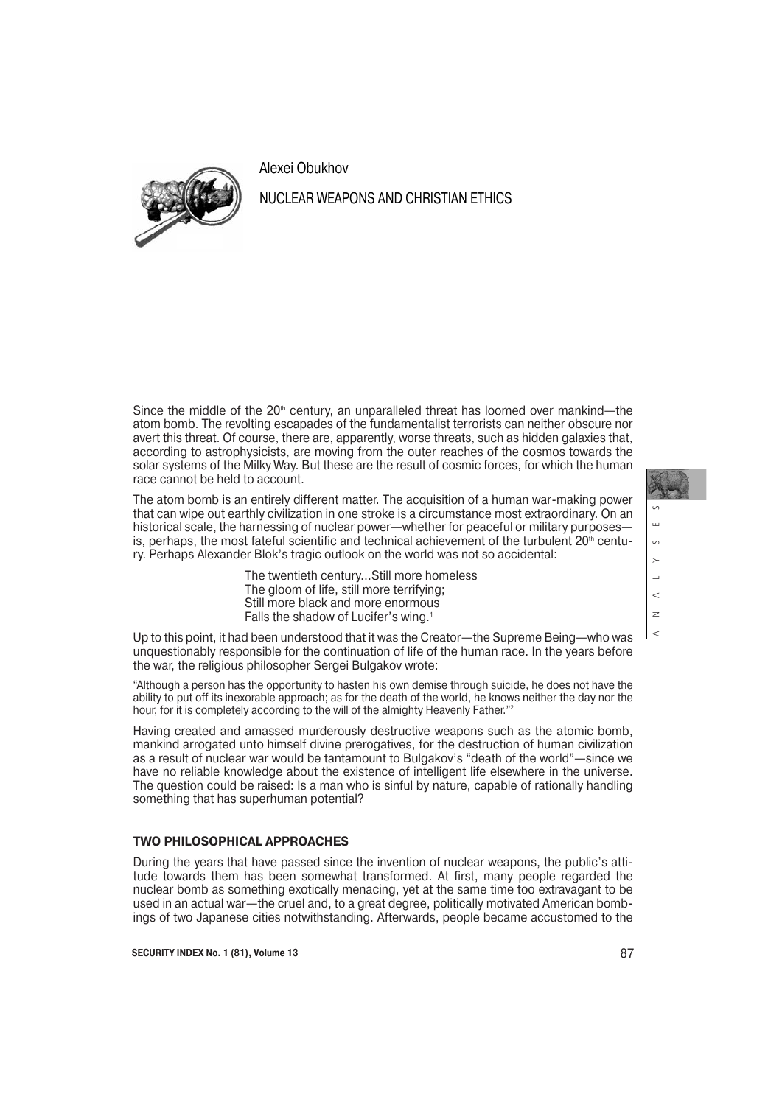

Alexei Obukhov NUCLEAR WEAPONS AND CHRISTIAN ETHICS

Since the middle of the  $20<sup>th</sup>$  century, an unparalleled threat has loomed over mankind—the atom bomb. The revolting escapades of the fundamentalist terrorists can neither obscure nor avert this threat. Of course, there are, apparently, worse threats, such as hidden galaxies that, according to astrophysicists, are moving from the outer reaches of the cosmos towards the solar systems of the Milky Way. But these are the result of cosmic forces, for which the human race cannot be held to account.

The atom bomb is an entirely different matter. The acquisition of a human war-making power that can wipe out earthly civilization in one stroke is a circumstance most extraordinary. On an historical scale, the harnessing of nuclear power—whether for peaceful or military purposes is, perhaps, the most fateful scientific and technical achievement of the turbulent  $20^{\text{th}}$  century. Perhaps Alexander Blok's tragic outlook on the world was not so accidental:

> The twentieth century…Still more homeless The gloom of life, still more terrifying; Still more black and more enormous Falls the shadow of Lucifer's wing.<sup>1</sup>

Up to this point, it had been understood that it was the Creator—the Supreme Being—who was unquestionably responsible for the continuation of life of the human race. In the years before the war, the religious philosopher Sergei Bulgakov wrote:

"Although a person has the opportunity to hasten his own demise through suicide, he does not have the ability to put off its inexorable approach; as for the death of the world, he knows neither the day nor the hour, for it is completely according to the will of the almighty Heavenly Father."<sup>2</sup>

Having created and amassed murderously destructive weapons such as the atomic bomb, mankind arrogated unto himself divine prerogatives, for the destruction of human civilization as a result of nuclear war would be tantamount to Bulgakov's "death of the world"—since we have no reliable knowledge about the existence of intelligent life elsewhere in the universe. The question could be raised: Is a man who is sinful by nature, capable of rationally handling something that has superhuman potential?

# **TWO PHILOSOPHICAL APPROACHES**

During the years that have passed since the invention of nuclear weapons, the public's atti tude towards them has been somewhat transformed. At first, many people regarded the nuclear bomb as something exotically menacing, yet at the same time too extravagant to be used in an actual war—the cruel and, to a great degree, politically motivated American bomb ings of two Japanese cities notwithstanding. Afterwards, people became accustomed to the i i i  $\sim$ 

 $\mathcal{L}_{\mathcal{A}}$  $\prec$  $\rightarrow$  $\triangleleft$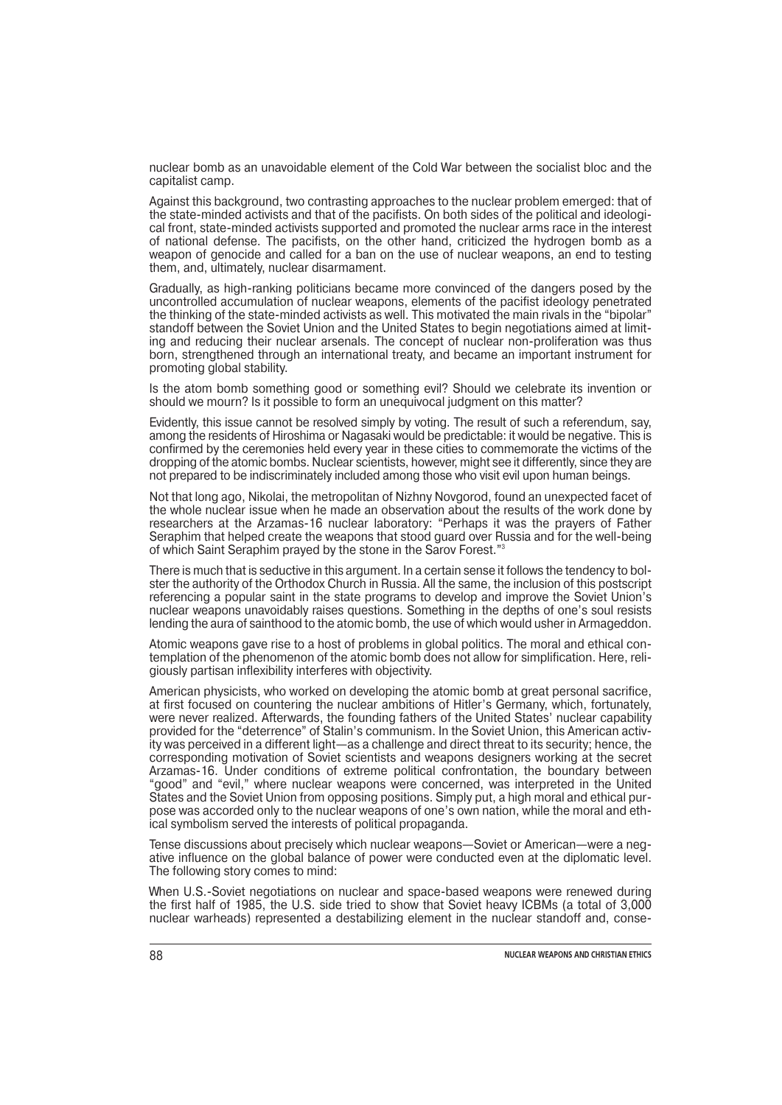nuclear bomb as an unavoidable element of the Cold War between the socialist bloc and the capitalist camp.

Against this background, two contrasting approaches to the nuclear problem emerged: that of the state-minded activists and that of the pacifists. On both sides of the political and ideologi cal front, state-minded activists supported and promoted the nuclear arms race in the interest of national defense. The pacifists, on the other hand, criticized the hydrogen bomb as a weapon of genocide and called for a ban on the use of nuclear weapons, an end to testing them, and, ultimately, nuclear disarmament.

Gradually, as high-ranking politicians became more convinced of the dangers posed by the uncontrolled accumulation of nuclear weapons, elements of the pacifist ideology penetrated the thinking of the state-minded activists as well. This motivated the main rivals in the "bipolar" standoff between the Soviet Union and the United States to begin negotiations aimed at limit ing and reducing their nuclear arsenals. The concept of nuclear non-proliferation was thus born, strengthened through an international treaty, and became an important instrument for promoting global stability.

Is the atom bomb something good or something evil? Should we celebrate its invention or should we mourn? Is it possible to form an unequivocal judgment on this matter?

Evidently, this issue cannot be resolved simply by voting. The result of such a referendum, say, among the residents of Hiroshima or Nagasaki would be predictable: it would be negative. This is confirmed by the ceremonies held every year in these cities to commemorate the victims of the dropping of the atomic bombs. Nuclear scientists, however, might see it differently, since they are not prepared to be indiscriminately included among those who visit evil upon human beings.

Not that long ago, Nikolai, the metropolitan of Nizhny Novgorod, found an unexpected facet of the whole nuclear issue when he made an observation about the results of the work done by researchers at the Arzamas-16 nuclear laboratory: "Perhaps it was the prayers of Father Seraphim that helped create the weapons that stood guard over Russia and for the well-being of which Saint Seraphim prayed by the stone in the Sarov Forest."3

There is much that is seductive in this argument. In a certain sense it follows the tendency to bol ster the authority of the Orthodox Church in Russia. All the same, the inclusion of this postscript referencing a popular saint in the state programs to develop and improve the Soviet Union's nuclear weapons unavoidably raises questions. Something in the depths of one's soul resists lending the aura of sainthood to the atomic bomb, the use of which would usher in Armageddon.

Atomic weapons gave rise to a host of problems in global politics. The moral and ethical con templation of the phenomenon of the atomic bomb does not allow for simplification. Here, reli giously partisan inflexibility interferes with objectivity.

American physicists, who worked on developing the atomic bomb at great personal sacrifice, at first focused on countering the nuclear ambitions of Hitler's Germany, which, fortunately, were never realized. Afterwards, the founding fathers of the United States' nuclear capability provided for the "deterrence" of Stalin's communism. In the Soviet Union, this American activ ity was perceived in a different light—as a challenge and direct threat to its security; hence, the corresponding motivation of Soviet scientists and weapons designers working at the secret Arzamas-16. Under conditions of extreme political confrontation, the boundary between "good" and "evil," where nuclear weapons were concerned, was interpreted in the United States and the Soviet Union from opposing positions. Simply put, a high moral and ethical pur pose was accorded only to the nuclear weapons of one's own nation, while the moral and eth ical symbolism served the interests of political propaganda.

Tense discussions about precisely which nuclear weapons—Soviet or American—were a neg ative influence on the global balance of power were conducted even at the diplomatic level. The following story comes to mind:

When U.S.-Soviet negotiations on nuclear and space-based weapons were renewed during the first half of 1985, the U.S. side tried to show that Soviet heavy ICBMs (a total of 3,000 nuclear warheads) represented a destabilizing element in the nuclear standoff and, conse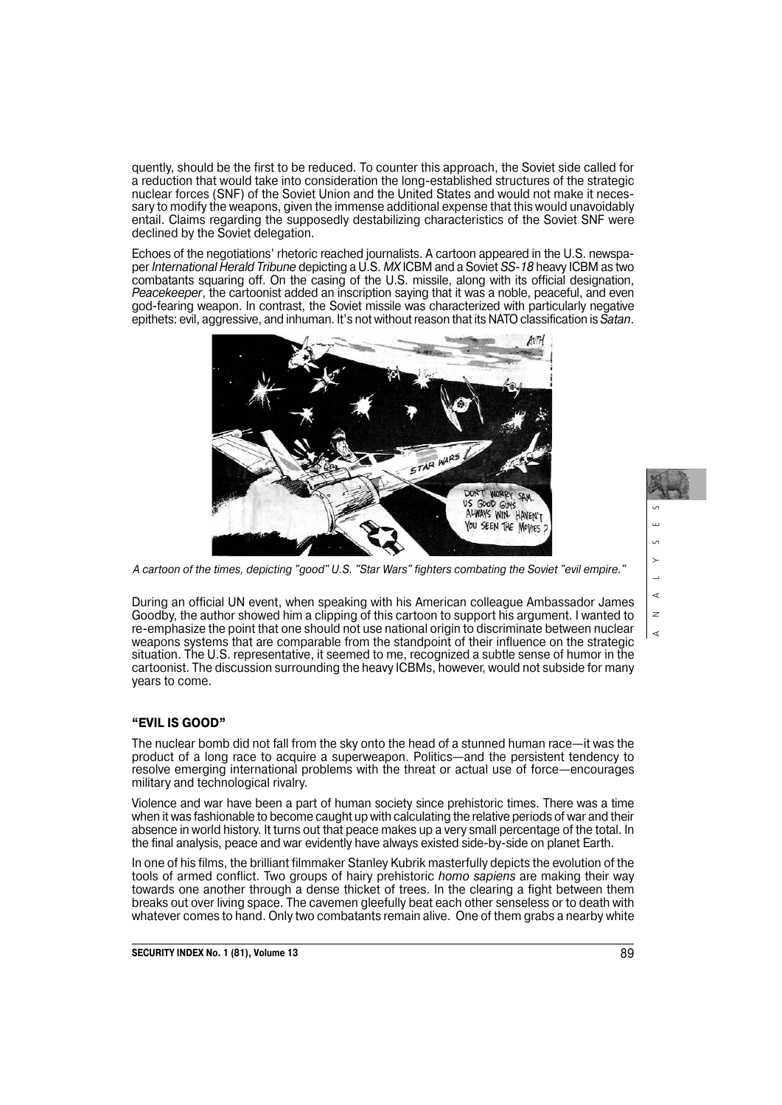quently, should be the first to be reduced. To counter this approach, the Soviet side called for a reduction that would take into consideration the long-established structures of the strategic nuclear forces (SNF) of the Soviet Union and the United States and would not make it neces sary to modify the weapons, given the immense additional expense that this would unavoidably entail. Claims regarding the supposedly destabilizing characteristics of the Soviet SNF were declined by the Soviet delegation.

Echoes of the negotiations' rhetoric reached journalists. A cartoon appeared in the U.S. newspa per *International Herald Tribune* depicting a U.S. *MX* ICBM and a Soviet *SS-18* heavy ICBM as two combatants squaring off. On the casing of the U.S. missile, along with its official designation, Peacekeeper, the cartoonist added an inscription saying that it was a noble, peaceful, and even god-fearing weapon. In contrast, the Soviet missile was characterized with particularly negative epithets: evil, aggressive, and inhuman. It's not without reason that its NATO classification is Satan.



A cartoon of the times, depicting "good" U.S. "Star Wars" fighters combating the Soviet "evil empire."

During an official UN event, when speaking with his American colleague Ambassador James Goodby, the author showed him a clipping of this cartoon to support his argument. I wanted to re-emphasize the point that one should not use national origin to discriminate between nuclear weapons systems that are comparable from the standpoint of their influence on the strategic situation. The U.S. representative, it seemed to me, recognized a subtle sense of humor in the cartoonist. The discussion surrounding the heavy ICBMs, however, would not subside for many years to come.

## **"EVIL IS GOOD"**

The nuclear bomb did not fall from the sky onto the head of a stunned human race—it was the product of a long race to acquire a superweapon. Politics—and the persistent tendency to resolve emerging international problems with the threat or actual use of force—encourages military and technological rivalry.

Violence and war have been a part of human society since prehistoric times. There was a time when it was fashionable to become caught up with calculating the relative periods of war and their absence in world history. It turns out that peace makes up a very small percentage of the total. In the final analysis, peace and war evidently have always existed side-by-side on planet Earth.

In one of his films, the brilliant filmmaker Stanley Kubrik masterfully depicts the evolution of the tools of armed conflict. Two groups of hairy prehistoric homo sapiens are making their way towards one another through a dense thicket of trees. In the clearing a fight between them breaks out over living space. The cavemen gleefully beat each other senseless or to death with whatever comes to hand. Only two combatants remain alive. One of them grabs a nearby white

 $\overline{11}$  $\sim$ 

 $\prec$  $\geq$ ∢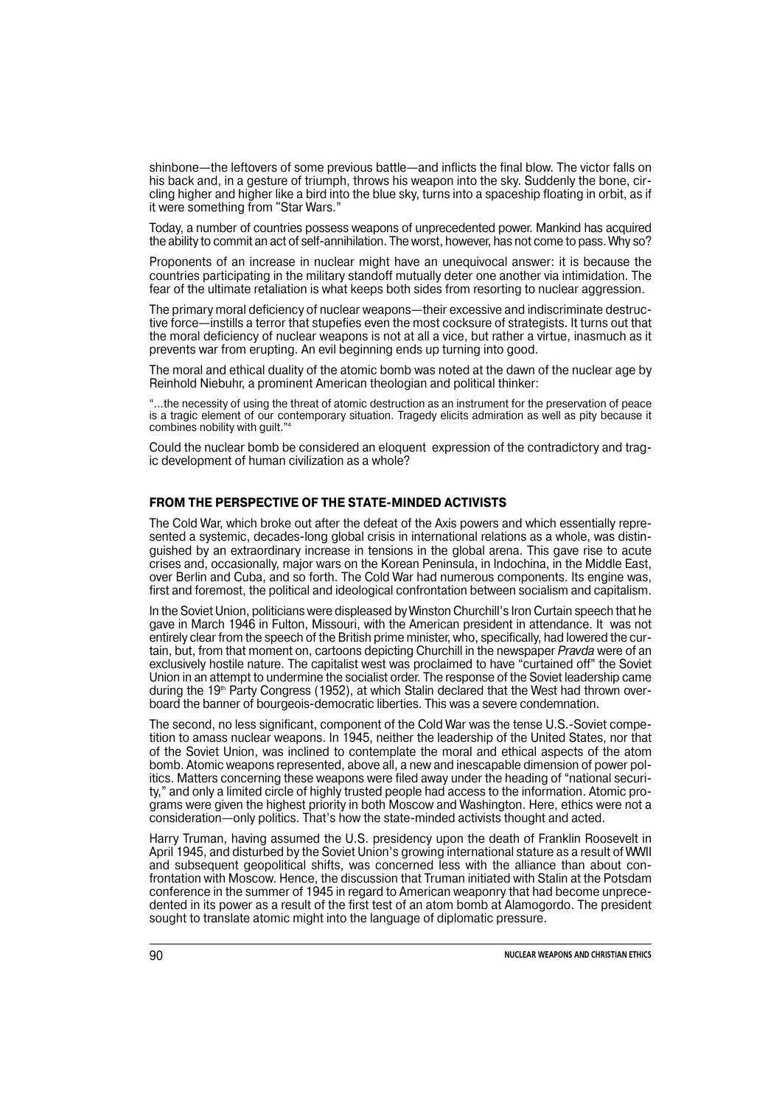shinbone—the leftovers of some previous battle—and inflicts the final blow. The victor falls on his back and, in a gesture of triumph, throws his weapon into the sky. Suddenly the bone, cir cling higher and higher like a bird into the blue sky, turns into a spaceship floating in orbit, as if it were something from "Star Wars."

Today, a number of countries possess weapons of unprecedented power. Mankind has acquired the ability to commit an act of self-annihilation. The worst, however, has not come to pass. Why so?

Proponents of an increase in nuclear might have an unequivocal answer: it is because the countries participating in the military standoff mutually deter one another via intimidation. The fear of the ultimate retaliation is what keeps both sides from resorting to nuclear aggression.

The primary moral deficiency of nuclear weapons—their excessive and indiscriminate destruc tive force—instills a terror that stupefies even the most cocksure of strategists. It turns out that the moral deficiency of nuclear weapons is not at all a vice, but rather a virtue, inasmuch as it prevents war from erupting. An evil beginning ends up turning into good.

The moral and ethical duality of the atomic bomb was noted at the dawn of the nuclear age by Reinhold Niebuhr, a prominent American theologian and political thinker:

"…the necessity of using the threat of atomic destruction as an instrument for the preservation of peace is a tragic element of our contemporary situation. Tragedy elicits admiration as well as pity because it combines nobility with quilt.'

Could the nuclear bomb be considered an eloquent expression of the contradictory and trag ic development of human civilization as a whole?

## **FROM THE PERSPECTIVE OF THE STATE-MINDED ACTIVISTS**

The Cold War, which broke out after the defeat of the Axis powers and which essentially repre sented a systemic, decades-long global crisis in international relations as a whole, was distin guished by an extraordinary increase in tensions in the global arena. This gave rise to acute crises and, occasionally, major wars on the Korean Peninsula, in Indochina, in the Middle East, over Berlin and Cuba, and so forth. The Cold War had numerous components. Its engine was, first and foremost, the political and ideological confrontation between socialism and capitalism.

In the Soviet Union, politicians were displeased by Winston Churchill's Iron Curtain speech that he gave in March 1946 in Fulton, Missouri, with the American president in attendance. It was not entirely clear from the speech of the British prime minister, who, specifically, had lowered the cur tain, but, from that moment on, cartoons depicting Churchill in the newspaper Pravda were of an exclusively hostile nature. The capitalist west was proclaimed to have "curtained off" the Soviet Union in an attempt to undermine the socialist order. The response of the Soviet leadership came during the 19<sup>th</sup> Party Congress (1952), at which Stalin declared that the West had thrown overboard the banner of bourgeois-democratic liberties. This was a severe condemnation.

The second, no less significant, component of the Cold War was the tense U.S.-Soviet compe tition to amass nuclear weapons. In 1945, neither the leadership of the United States, nor that of the Soviet Union, was inclined to contemplate the moral and ethical aspects of the atom bomb. Atomic weapons represented, above all, a new and inescapable dimension of power pol itics. Matters concerning these weapons were filed away under the heading of "national securi ty," and only a limited circle of highly trusted people had access to the information. Atomic pro grams were given the highest priority in both Moscow and Washington. Here, ethics were not a consideration—only politics. That's how the state-minded activists thought and acted.

Harry Truman, having assumed the U.S. presidency upon the death of Franklin Roosevelt in April 1945, and disturbed by the Soviet Union's growing international stature as a result of WWII and subsequent geopolitical shifts, was concerned less with the alliance than about con frontation with Moscow. Hence, the discussion that Truman initiated with Stalin at the Potsdam conference in the summer of 1945 in regard to American weaponry that had become unprece dented in its power as a result of the first test of an atom bomb at Alamogordo. The president sought to translate atomic might into the language of diplomatic pressure.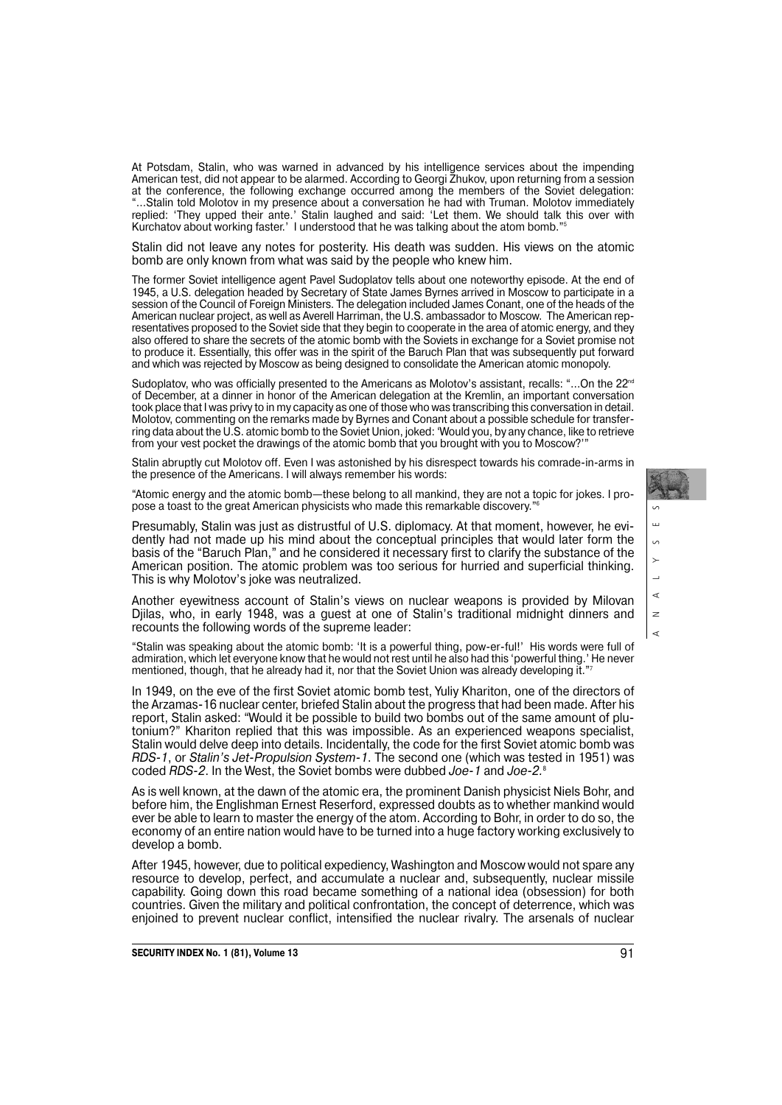At Potsdam, Stalin, who was warned in advanced by his intelligence services about the impending American test, did not appear to be alarmed. According to Georgi Zhukov, upon returning from a session at the conference, the following exchange occurred among the members of the Soviet delegation: "…Stalin told Molotov in my presence about a conversation he had with Truman. Molotov immediately replied: 'They upped their ante.' Stalin laughed and said: 'Let them. We should talk this over with Kurchatov about working faster.' I understood that he was talking about the atom bomb.'

Stalin did not leave any notes for posterity. His death was sudden. His views on the atomic bomb are only known from what was said by the people who knew him.

The former Soviet intelligence agent Pavel Sudoplatov tells about one noteworthy episode. At the end of 1945, a U.S. delegation headed by Secretary of State James Byrnes arrived in Moscow to participate in a session of the Council of Foreign Ministers. The delegation included James Conant, one of the heads of the American nuclear project, as well as Averell Harriman, the U.S. ambassador to Moscow. The American rep resentatives proposed to the Soviet side that they begin to cooperate in the area of atomic energy, and they also offered to share the secrets of the atomic bomb with the Soviets in exchange for a Soviet promise not to produce it. Essentially, this offer was in the spirit of the Baruch Plan that was subsequently put forward and which was rejected by Moscow as being designed to consolidate the American atomic monopoly.

Sudoplatov, who was officially presented to the Americans as Molotov's assistant, recalls: "...On the 22<sup>nd</sup> of December, at a dinner in honor of the American delegation at the Kremlin, an important conversation took place that I was privy to in my capacity as one of those who was transcribing this conversation in detail. Molotov, commenting on the remarks made by Byrnes and Conant about a possible schedule for transfer ring data about the U.S. atomic bomb to the Soviet Union, joked: 'Would you, by any chance, like to retrieve from your vest pocket the drawings of the atomic bomb that you brought with you to Moscow?'

Stalin abruptly cut Molotov off. Even I was astonished by his disrespect towards his comrade-in-arms in the presence of the Americans. I will always remember his words:

"Atomic energy and the atomic bomb—these belong to all mankind, they are not a topic for jokes. I pro pose a toast to the great American physicists who made this remarkable discovery."

Presumably, Stalin was just as distrustful of U.S. diplomacy. At that moment, however, he evi dently had not made up his mind about the conceptual principles that would later form the basis of the "Baruch Plan," and he considered it necessary first to clarify the substance of the American position. The atomic problem was too serious for hurried and superficial thinking. This is why Molotov's joke was neutralized.

Another eyewitness account of Stalin's views on nuclear weapons is provided by Milovan Djilas, who, in early 1948, was a guest at one of Stalin's traditional midnight dinners and recounts the following words of the supreme leader:

"Stalin was speaking about the atomic bomb: 'It is a powerful thing, pow-er-ful!' His words were full of admiration, which let everyone know that he would not rest until he also had this 'powerful thing.' He never mentioned, though, that he already had it, nor that the Soviet Union was already developing it.

In 1949, on the eve of the first Soviet atomic bomb test, Yuliy Khariton, one of the directors of the Arzamas-16 nuclear center, briefed Stalin about the progress that had been made. After his report, Stalin asked: "Would it be possible to build two bombs out of the same amount of plu tonium?" Khariton replied that this was impossible. As an experienced weapons specialist, Stalin would delve deep into details. Incidentally, the code for the first Soviet atomic bomb was RDS-1, or Stalin's Jet-Propulsion System-1. The second one (which was tested in 1951) was coded RDS-2. In the West, the Soviet bombs were dubbed Joe-1 and Joe-2.<sup>8</sup>

As is well known, at the dawn of the atomic era, the prominent Danish physicist Niels Bohr, and before him, the Englishman Ernest Reserford, expressed doubts as to whether mankind would ever be able to learn to master the energy of the atom. According to Bohr, in order to do so, the economy of an entire nation would have to be turned into a huge factory working exclusively to develop a bomb.

After 1945, however, due to political expediency, Washington and Moscow would not spare any resource to develop, perfect, and accumulate a nuclear and, subsequently, nuclear missile capability. Going down this road became something of a national idea (obsession) for both countries. Given the military and political confrontation, the concept of deterrence, which was enjoined to prevent nuclear conflict, intensified the nuclear rivalry. The arsenals of nuclear  $\overline{111}$  $\sim$  $\rightarrow$  $\mathcal{L}$  $\prec$  $\geq$ ∢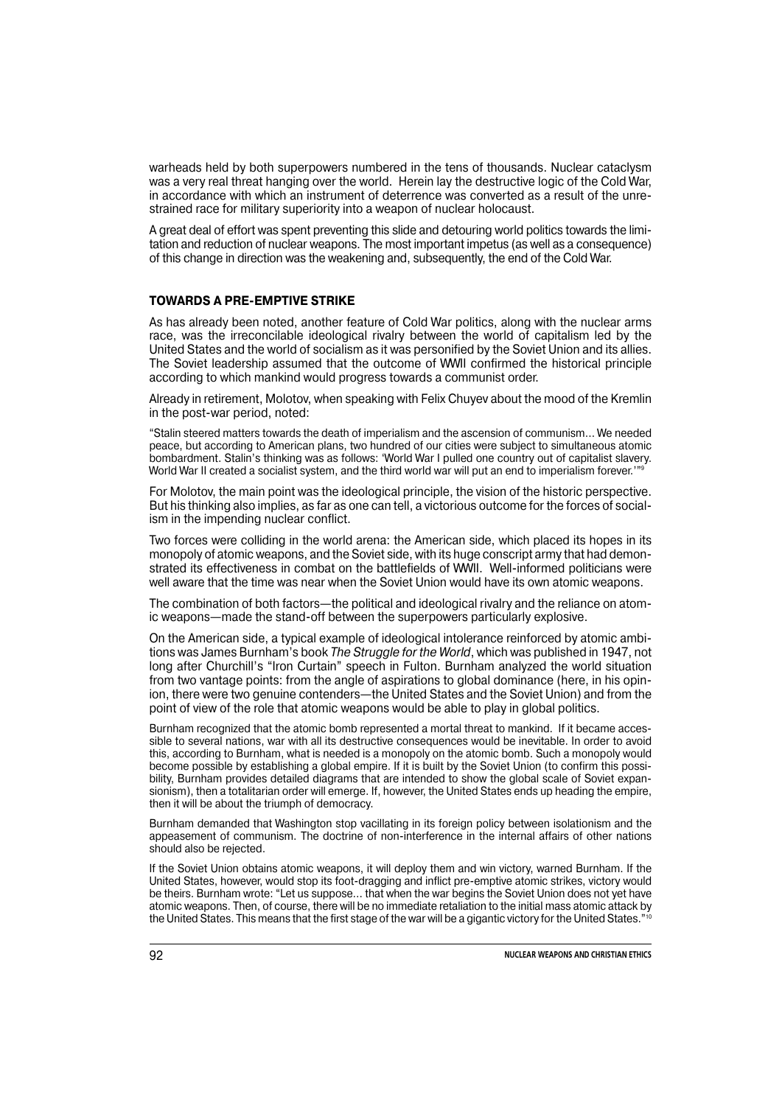warheads held by both superpowers numbered in the tens of thousands. Nuclear cataclysm was a very real threat hanging over the world. Herein lay the destructive logic of the Cold War, in accordance with which an instrument of deterrence was converted as a result of the unre strained race for military superiority into a weapon of nuclear holocaust.

A great deal of effort was spent preventing this slide and detouring world politics towards the limi tation and reduction of nuclear weapons. The most important impetus (as well as a consequence) of this change in direction was the weakening and, subsequently, the end of the Cold War.

## **TOWARDS A PRE-EMPTIVE STRIKE**

As has already been noted, another feature of Cold War politics, along with the nuclear arms race, was the irreconcilable ideological rivalry between the world of capitalism led by the United States and the world of socialism as it was personified by the Soviet Union and its allies. The Soviet leadership assumed that the outcome of WWII confirmed the historical principle according to which mankind would progress towards a communist order.

Already in retirement, Molotov, when speaking with Felix Chuyev about the mood of the Kremlin in the post-war period, noted:

"Stalin steered matters towards the death of imperialism and the ascension of communism… We needed peace, but according to American plans, two hundred of our cities were subject to simultaneous atomic bombardment. Stalin's thinking was as follows: 'World War I pulled one country out of capitalist slavery. World War II created a socialist system, and the third world war will put an end to imperialism forever."

For Molotov, the main point was the ideological principle, the vision of the historic perspective. But his thinking also implies, as far as one can tell, a victorious outcome for the forces of social ism in the impending nuclear conflict.

Two forces were colliding in the world arena: the American side, which placed its hopes in its monopoly of atomic weapons, and the Soviet side, with its huge conscript army that had demon strated its effectiveness in combat on the battlefields of WWII. Well-informed politicians were well aware that the time was near when the Soviet Union would have its own atomic weapons.

The combination of both factors—the political and ideological rivalry and the reliance on atom ic weapons—made the stand-off between the superpowers particularly explosive.

On the American side, a typical example of ideological intolerance reinforced by atomic ambi tions was James Burnham's book The Struggle for the World, which was published in 1947, not long after Churchill's "Iron Curtain" speech in Fulton. Burnham analyzed the world situation from two vantage points: from the angle of aspirations to global dominance (here, in his opin ion, there were two genuine contenders—the United States and the Soviet Union) and from the point of view of the role that atomic weapons would be able to play in global politics.

Burnham recognized that the atomic bomb represented a mortal threat to mankind. If it became acces sible to several nations, war with all its destructive consequences would be inevitable. In order to avoid this, according to Burnham, what is needed is a monopoly on the atomic bomb. Such a monopoly would become possible by establishing a global empire. If it is built by the Soviet Union (to confirm this possi bility, Burnham provides detailed diagrams that are intended to show the global scale of Soviet expan sionism), then a totalitarian order will emerge. If, however, the United States ends up heading the empire, then it will be about the triumph of democracy.

Burnham demanded that Washington stop vacillating in its foreign policy between isolationism and the appeasement of communism. The doctrine of non-interference in the internal affairs of other nations should also be rejected.

If the Soviet Union obtains atomic weapons, it will deploy them and win victory, warned Burnham. If the United States, however, would stop its foot-dragging and inflict pre-emptive atomic strikes, victory would be theirs. Burnham wrote: "Let us suppose… that when the war begins the Soviet Union does not yet have atomic weapons. Then, of course, there will be no immediate retaliation to the initial mass atomic attack by the United States. This means that the first stage of the war will be a gigantic victory for the United States."<sup>10</sup>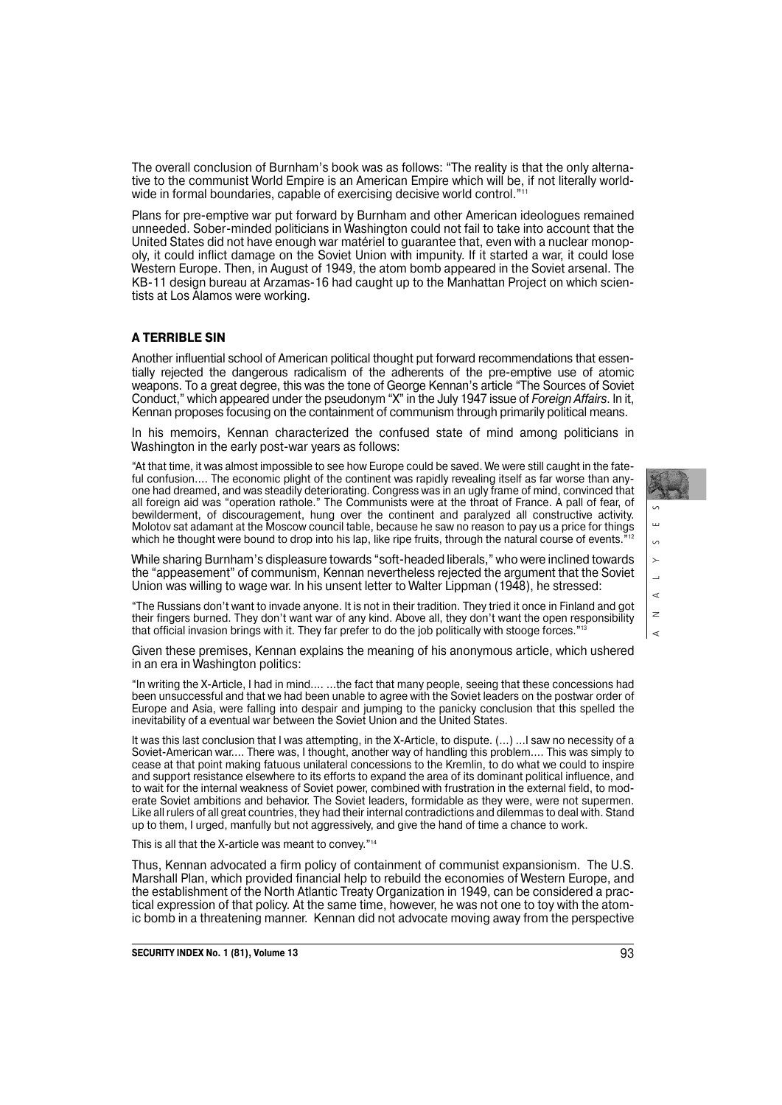The overall conclusion of Burnham's book was as follows: "The reality is that the only alterna tive to the communist World Empire is an American Empire which will be, if not literally world wide in formal boundaries, capable of exercising decisive world control."<sup>11</sup>

Plans for pre-emptive war put forward by Burnham and other American ideologues remained unneeded. Sober-minded politicians in Washington could not fail to take into account that the United States did not have enough war matériel to guarantee that, even with a nuclear monop oly, it could inflict damage on the Soviet Union with impunity. If it started a war, it could lose Western Europe. Then, in August of 1949, the atom bomb appeared in the Soviet arsenal. The KB-11 design bureau at Arzamas-16 had caught up to the Manhattan Project on which scien tists at Los Alamos were working.

## **A TERRIBLE SIN**

Another influential school of American political thought put forward recommendations that essen tially rejected the dangerous radicalism of the adherents of the pre-emptive use of atomic weapons. To a great degree, this was the tone of George Kennan's article "The Sources of Soviet Conduct," which appeared under the pseudonym "X" in the July 1947 issue of Foreign Affairs. In it, Kennan proposes focusing on the containment of communism through primarily political means.

In his memoirs, Kennan characterized the confused state of mind among politicians in Washington in the early post-war years as follows:

"At that time, it was almost impossible to see how Europe could be saved. We were still caught in the fate ful confusion…. The economic plight of the continent was rapidly revealing itself as far worse than any one had dreamed, and was steadily deteriorating. Congress was in an ugly frame of mind, convinced that all foreign aid was "operation rathole." The Communists were at the throat of France. A pall of fear, of bewilderment, of discouragement, hung over the continent and paralyzed all constructive activity. Molotov sat adamant at the Moscow council table, because he saw no reason to pay us a price for things which he thought were bound to drop into his lap, like ripe fruits, through the natural course of events."

While sharing Burnham's displeasure towards "soft-headed liberals," who were inclined towards the "appeasement" of communism, Kennan nevertheless rejected the argument that the Soviet Union was willing to wage war. In his unsent letter to Walter Lippman (1948), he stressed:

"The Russians don't want to invade anyone. It is not in their tradition. They tried it once in Finland and got their fingers burned. They don't want war of any kind. Above all, they don't want the open responsibility that official invasion brings with it. They far prefer to do the job politically with stooge forces."<sup>13</sup>

Given these premises, Kennan explains the meaning of his anonymous article, which ushered in an era in Washington politics:

"In writing the X-Article, I had in mind…. …the fact that many people, seeing that these concessions had been unsuccessful and that we had been unable to agree with the Soviet leaders on the postwar order of Europe and Asia, were falling into despair and jumping to the panicky conclusion that this spelled the inevitability of a eventual war between the Soviet Union and the United States.

It was this last conclusion that I was attempting, in the X-Article, to dispute. (…) …I saw no necessity of a Soviet-American war…. There was, I thought, another way of handling this problem…. This was simply to cease at that point making fatuous unilateral concessions to the Kremlin, to do what we could to inspire and support resistance elsewhere to its efforts to expand the area of its dominant political influence, and to wait for the internal weakness of Soviet power, combined with frustration in the external field, to mod erate Soviet ambitions and behavior. The Soviet leaders, formidable as they were, were not supermen. Like all rulers of all great countries, they had their internal contradictions and dilemmas to deal with. Stand up to them, I urged, manfully but not aggressively, and give the hand of time a chance to work.

This is all that the X-article was meant to convey."14

Thus, Kennan advocated a firm policy of containment of communist expansionism. The U.S. Marshall Plan, which provided financial help to rebuild the economies of Western Europe, and the establishment of the North Atlantic Treaty Organization in 1949, can be considered a prac tical expression of that policy. At the same time, however, he was not one to toy with the atom ic bomb in a threatening manner. Kennan did not advocate moving away from the perspective  $\overline{111}$  $\sim$ 

 $\mathcal{L}$  $\prec$  $\geq$ ∢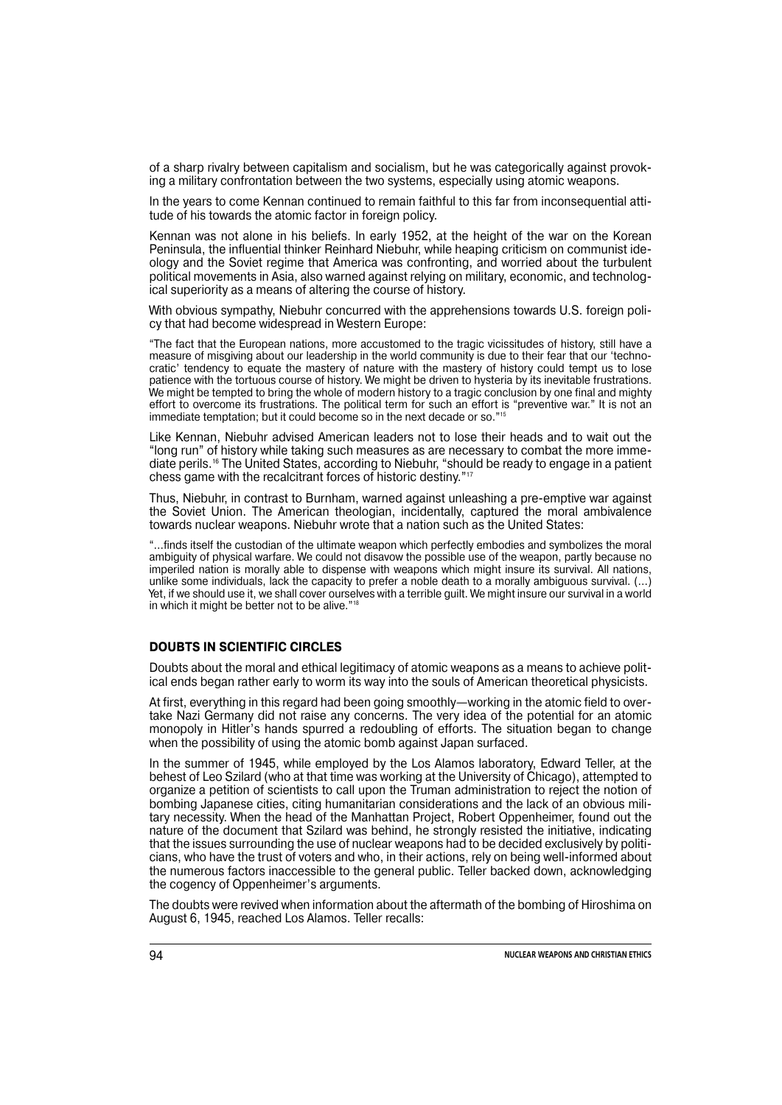of a sharp rivalry between capitalism and socialism, but he was categorically against provok ing a military confrontation between the two systems, especially using atomic weapons.

In the years to come Kennan continued to remain faithful to this far from inconsequential atti tude of his towards the atomic factor in foreign policy.

Kennan was not alone in his beliefs. In early 1952, at the height of the war on the Korean Peninsula, the influential thinker Reinhard Niebuhr, while heaping criticism on communist ide ology and the Soviet regime that America was confronting, and worried about the turbulent political movements in Asia, also warned against relying on military, economic, and technolog ical superiority as a means of altering the course of history.

With obvious sympathy, Niebuhr concurred with the apprehensions towards U.S. foreign poli cy that had become widespread in Western Europe:

"The fact that the European nations, more accustomed to the tragic vicissitudes of history, still have a measure of misgiving about our leadership in the world community is due to their fear that our 'techno cratic' tendency to equate the mastery of nature with the mastery of history could tempt us to lose patience with the tortuous course of history. We might be driven to hysteria by its inevitable frustrations. We might be tempted to bring the whole of modern history to a tragic conclusion by one final and mighty effort to overcome its frustrations. The political term for such an effort is "preventive war." It is not an immediate temptation; but it could become so in the next decade or so."15

Like Kennan, Niebuhr advised American leaders not to lose their heads and to wait out the "long run" of history while taking such measures as are necessary to combat the more imme diate perils.16 The United States, according to Niebuhr, "should be ready to engage in a patient chess game with the recalcitrant forces of historic destiny."<sup>17</sup>

Thus, Niebuhr, in contrast to Burnham, warned against unleashing a pre-emptive war against the Soviet Union. The American theologian, incidentally, captured the moral ambivalence towards nuclear weapons. Niebuhr wrote that a nation such as the United States:

"…finds itself the custodian of the ultimate weapon which perfectly embodies and symbolizes the moral ambiguity of physical warfare. We could not disavow the possible use of the weapon, partly because no imperiled nation is morally able to dispense with weapons which might insure its survival. All nations, unlike some individuals, lack the capacity to prefer a noble death to a morally ambiguous survival. (…) Yet, if we should use it, we shall cover ourselves with a terrible guilt. We might insure our survival in a world in which it might be better not to be alive."18

# **DOUBTS IN SCIENTIFIC CIRCLES**

Doubts about the moral and ethical legitimacy of atomic weapons as a means to achieve polit ical ends began rather early to worm its way into the souls of American theoretical physicists.

At first, everything in this regard had been going smoothly—working in the atomic field to over take Nazi Germany did not raise any concerns. The very idea of the potential for an atomic monopoly in Hitler's hands spurred a redoubling of efforts. The situation began to change when the possibility of using the atomic bomb against Japan surfaced.

In the summer of 1945, while employed by the Los Alamos laboratory, Edward Teller, at the behest of Leo Szilard (who at that time was working at the University of Chicago), attempted to organize a petition of scientists to call upon the Truman administration to reject the notion of bombing Japanese cities, citing humanitarian considerations and the lack of an obvious mili tary necessity. When the head of the Manhattan Project, Robert Oppenheimer, found out the nature of the document that Szilard was behind, he strongly resisted the initiative, indicating that the issues surrounding the use of nuclear weapons had to be decided exclusively by politi cians, who have the trust of voters and who, in their actions, rely on being well-informed about the numerous factors inaccessible to the general public. Teller backed down, acknowledging the cogency of Oppenheimer's arguments.

The doubts were revived when information about the aftermath of the bombing of Hiroshima on August 6, 1945, reached Los Alamos. Teller recalls: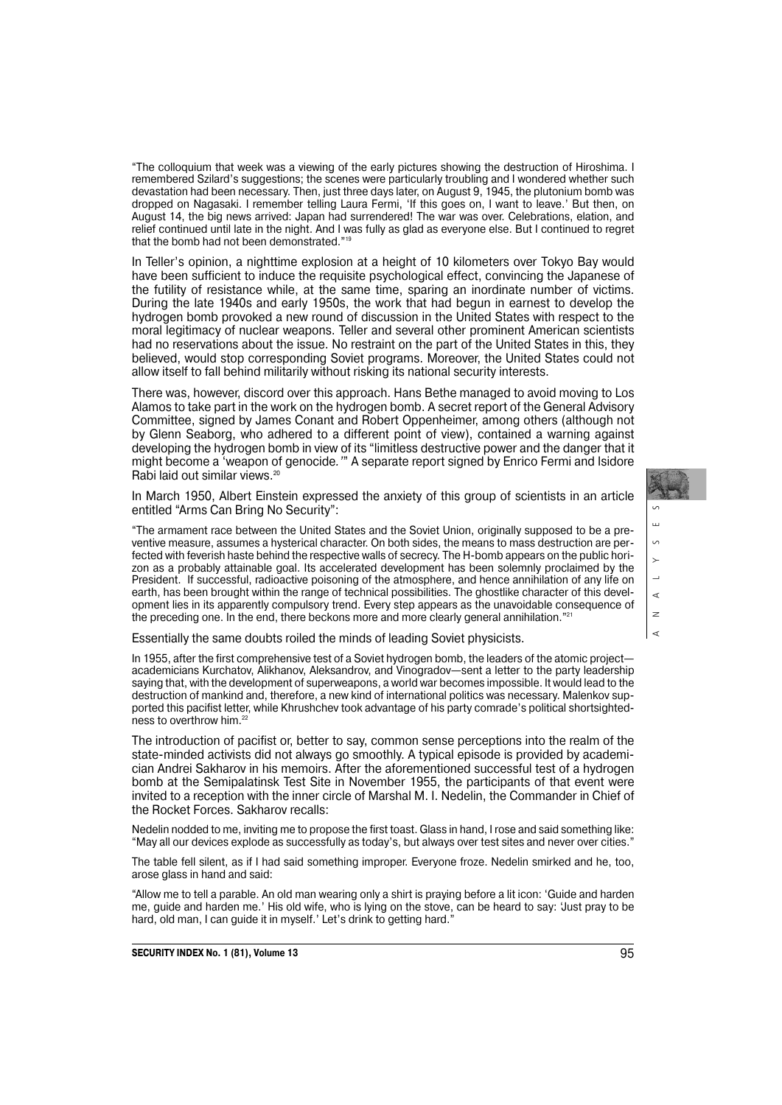"The colloquium that week was a viewing of the early pictures showing the destruction of Hiroshima. I remembered Szilard's suggestions; the scenes were particularly troubling and I wondered whether such devastation had been necessary. Then, just three days later, on August 9, 1945, the plutonium bomb was dropped on Nagasaki. I remember telling Laura Fermi, 'If this goes on, I want to leave.' But then, on August 14, the big news arrived: Japan had surrendered! The war was over. Celebrations, elation, and relief continued until late in the night. And I was fully as glad as everyone else. But I continued to regret that the bomb had not been demonstrated."19

In Teller's opinion, a nighttime explosion at a height of 10 kilometers over Tokyo Bay would have been sufficient to induce the requisite psychological effect, convincing the Japanese of the futility of resistance while, at the same time, sparing an inordinate number of victims. During the late 1940s and early 1950s, the work that had begun in earnest to develop the hydrogen bomb provoked a new round of discussion in the United States with respect to the moral legitimacy of nuclear weapons. Teller and several other prominent American scientists had no reservations about the issue. No restraint on the part of the United States in this, they believed, would stop corresponding Soviet programs. Moreover, the United States could not allow itself to fall behind militarily without risking its national security interests.

There was, however, discord over this approach. Hans Bethe managed to avoid moving to Los Alamos to take part in the work on the hydrogen bomb. A secret report of the General Advisory Committee, signed by James Conant and Robert Oppenheimer, among others (although not by Glenn Seaborg, who adhered to a different point of view), contained a warning against developing the hydrogen bomb in view of its "limitless destructive power and the danger that it might become a 'weapon of genocide.'" A separate report signed by Enrico Fermi and Isidore Rabi laid out similar views.<sup>20</sup>

In March 1950, Albert Einstein expressed the anxiety of this group of scientists in an article entitled "Arms Can Bring No Security":

"The armament race between the United States and the Soviet Union, originally supposed to be a pre ventive measure, assumes a hysterical character. On both sides, the means to mass destruction are per fected with feverish haste behind the respective walls of secrecy. The H-bomb appears on the public hori zon as a probably attainable goal. Its accelerated development has been solemnly proclaimed by the President. If successful, radioactive poisoning of the atmosphere, and hence annihilation of any life on earth, has been brought within the range of technical possibilities. The ghostlike character of this devel opment lies in its apparently compulsory trend. Every step appears as the unavoidable consequence of the preceding one. In the end, there beckons more and more clearly general annihilation."<sup>2</sup>

Essentially the same doubts roiled the minds of leading Soviet physicists.

In 1955, after the first comprehensive test of a Soviet hydrogen bomb, the leaders of the atomic project academicians Kurchatov, Alikhanov, Aleksandrov, and Vinogradov—sent a letter to the party leadership saying that, with the development of superweapons, a world war becomes impossible. It would lead to the destruction of mankind and, therefore, a new kind of international politics was necessary. Malenkov sup ported this pacifist letter, while Khrushchev took advantage of his party comrade's political shortsighted ness to overthrow him.<sup>22</sup>

The introduction of pacifist or, better to say, common sense perceptions into the realm of the state-minded activists did not always go smoothly. A typical episode is provided by academi cian Andrei Sakharov in his memoirs. After the aforementioned successful test of a hydrogen bomb at the Semipalatinsk Test Site in November 1955, the participants of that event were invited to a reception with the inner circle of Marshal M. I. Nedelin, the Commander in Chief of the Rocket Forces. Sakharov recalls:

Nedelin nodded to me, inviting me to propose the first toast. Glass in hand, I rose and said something like: "May all our devices explode as successfully as today's, but always over test sites and never over cities."

The table fell silent, as if I had said something improper. Everyone froze. Nedelin smirked and he, too, arose glass in hand and said:

"Allow me to tell a parable. An old man wearing only a shirt is praying before a lit icon: 'Guide and harden me, guide and harden me.' His old wife, who is lying on the stove, can be heard to say: 'Just pray to be hard, old man, I can guide it in myself.' Let's drink to getting hard.

ANALYSES

 $\mathbf{r}$  $\prec$  $\overline{z}$ ∢

 $\overline{111}$  $\sim$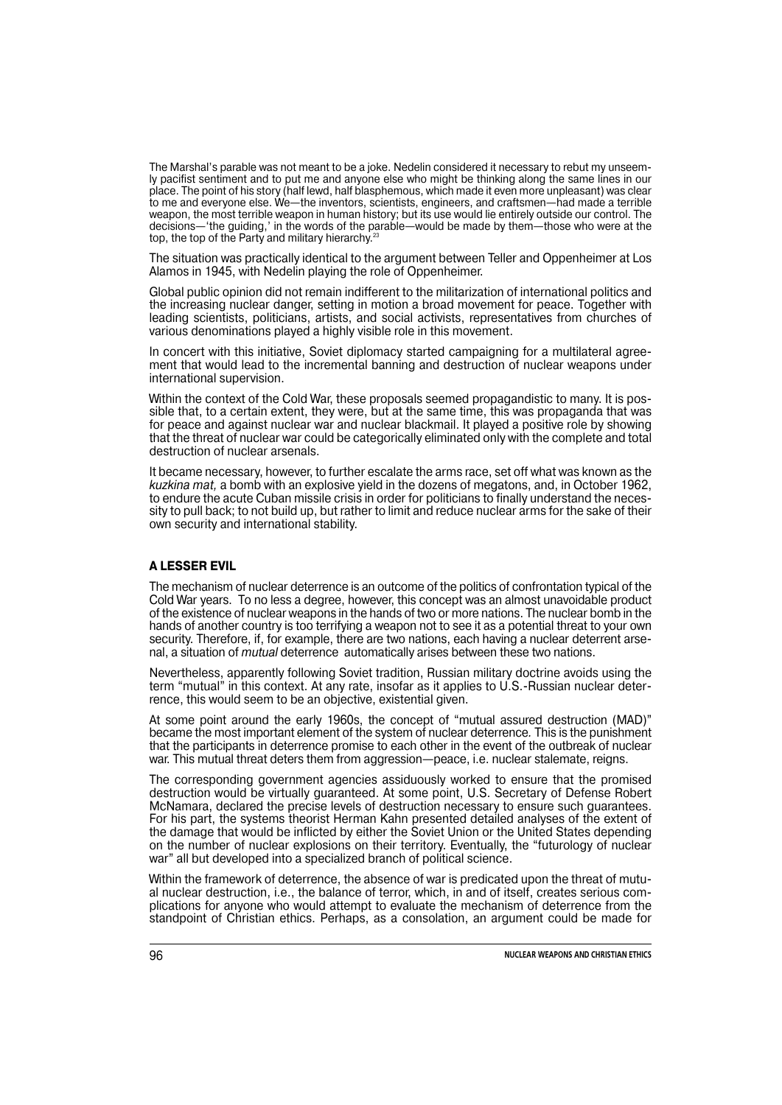The Marshal's parable was not meant to be a joke. Nedelin considered it necessary to rebut my unseem ly pacifist sentiment and to put me and anyone else who might be thinking along the same lines in our place. The point of his story (half lewd, half blasphemous, which made it even more unpleasant) was clear to me and everyone else. We—the inventors, scientists, engineers, and craftsmen—had made a terrible weapon, the most terrible weapon in human history; but its use would lie entirely outside our control. The decisions—'the guiding,' in the words of the parable—would be made by them—those who were at the top, the top of the Party and military hierarchy.<sup>23</sup>

The situation was practically identical to the argument between Teller and Oppenheimer at Los Alamos in 1945, with Nedelin playing the role of Oppenheimer.

Global public opinion did not remain indifferent to the militarization of international politics and the increasing nuclear danger, setting in motion a broad movement for peace. Together with leading scientists, politicians, artists, and social activists, representatives from churches of various denominations played a highly visible role in this movement.

In concert with this initiative, Soviet diplomacy started campaigning for a multilateral agree ment that would lead to the incremental banning and destruction of nuclear weapons under international supervision.

Within the context of the Cold War, these proposals seemed propagandistic to many. It is pos sible that, to a certain extent, they were, but at the same time, this was propaganda that was for peace and against nuclear war and nuclear blackmail. It played a positive role by showing that the threat of nuclear war could be categorically eliminated only with the complete and total destruction of nuclear arsenals.

It became necessary, however, to further escalate the arms race, set off what was known as the kuzkina mat, a bomb with an explosive yield in the dozens of megatons, and, in October 1962, to endure the acute Cuban missile crisis in order for politicians to finally understand the neces sity to pull back; to not build up, but rather to limit and reduce nuclear arms for the sake of their own security and international stability.

# **A LESSER EVIL**

The mechanism of nuclear deterrence is an outcome of the politics of confrontation typical of the Cold War years. To no less a degree, however, this concept was an almost unavoidable product of the existence of nuclear weapons in the hands of two or more nations. The nuclear bomb in the hands of another country is too terrifying a weapon not to see it as a potential threat to your own security. Therefore, if, for example, there are two nations, each having a nuclear deterrent arse nal, a situation of *mutual* deterrence automatically arises between these two nations.

Nevertheless, apparently following Soviet tradition, Russian military doctrine avoids using the term "mutual" in this context. At any rate, insofar as it applies to U.S.-Russian nuclear deter rence, this would seem to be an objective, existential given.

At some point around the early 1960s, the concept of "mutual assured destruction (MAD)" became the most important element of the system of nuclear deterrence. This is the punishment that the participants in deterrence promise to each other in the event of the outbreak of nuclear war. This mutual threat deters them from aggression—peace, i.e. nuclear stalemate, reigns.

The corresponding government agencies assiduously worked to ensure that the promised destruction would be virtually guaranteed. At some point, U.S. Secretary of Defense Robert McNamara, declared the precise levels of destruction necessary to ensure such guarantees. For his part, the systems theorist Herman Kahn presented detailed analyses of the extent of the damage that would be inflicted by either the Soviet Union or the United States depending on the number of nuclear explosions on their territory. Eventually, the "futurology of nuclear war" all but developed into a specialized branch of political science.

Within the framework of deterrence, the absence of war is predicated upon the threat of mutu al nuclear destruction, i.e., the balance of terror, which, in and of itself, creates serious com plications for anyone who would attempt to evaluate the mechanism of deterrence from the standpoint of Christian ethics. Perhaps, as a consolation, an argument could be made for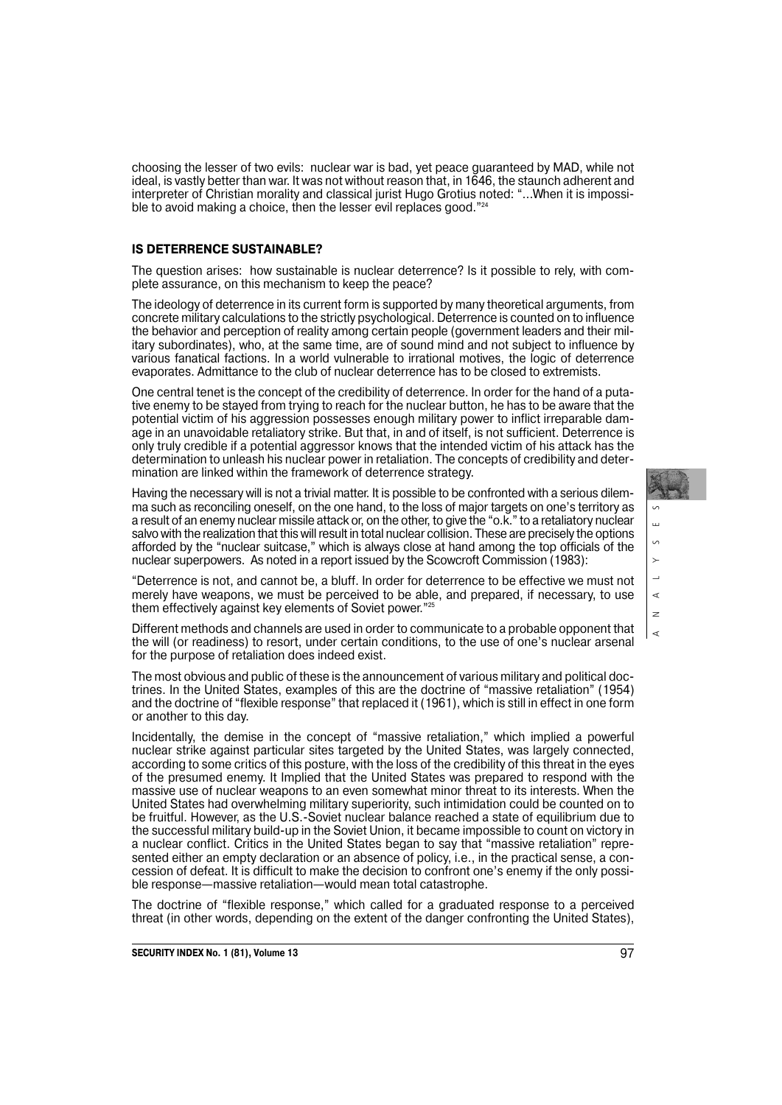choosing the lesser of two evils: nuclear war is bad, yet peace guaranteed by MAD, while not ideal, is vastly better than war. It was not without reason that, in 1646, the staunch adherent and interpreter of Christian morality and classical jurist Hugo Grotius noted: "…When it is impossi ble to avoid making a choice, then the lesser evil replaces good."<sup>24</sup>

## **IS DETERRENCE SUSTAINABLE?**

The question arises: how sustainable is nuclear deterrence? Is it possible to rely, with com plete assurance, on this mechanism to keep the peace?

The ideology of deterrence in its current form is supported by many theoretical arguments, from concrete military calculations to the strictly psychological. Deterrence is counted on to influence the behavior and perception of reality among certain people (government leaders and their mil itary subordinates), who, at the same time, are of sound mind and not subject to influence by various fanatical factions. In a world vulnerable to irrational motives, the logic of deterrence evaporates. Admittance to the club of nuclear deterrence has to be closed to extremists.

One central tenet is the concept of the credibility of deterrence. In order for the hand of a puta tive enemy to be stayed from trying to reach for the nuclear button, he has to be aware that the potential victim of his aggression possesses enough military power to inflict irreparable dam age in an unavoidable retaliatory strike. But that, in and of itself, is not sufficient. Deterrence is only truly credible if a potential aggressor knows that the intended victim of his attack has the determination to unleash his nuclear power in retaliation. The concepts of credibility and deter mination are linked within the framework of deterrence strategy.

Having the necessary will is not a trivial matter. It is possible to be confronted with a serious dilem ma such as reconciling oneself, on the one hand, to the loss of major targets on one's territory as a result of an enemy nuclear missile attack or, on the other, to give the "o.k." to a retaliatory nuclear salvo with the realization that this will result in total nuclear collision. These are precisely the options afforded by the "nuclear suitcase," which is always close at hand among the top officials of the nuclear superpowers. As noted in a report issued by the Scowcroft Commission (1983):

"Deterrence is not, and cannot be, a bluff. In order for deterrence to be effective we must not merely have weapons, we must be perceived to be able, and prepared, if necessary, to use them effectively against key elements of Soviet power."25

Different methods and channels are used in order to communicate to a probable opponent that the will (or readiness) to resort, under certain conditions, to the use of one's nuclear arsenal for the purpose of retaliation does indeed exist.

The most obvious and public of these is the announcement of various military and political doc trines. In the United States, examples of this are the doctrine of "massive retaliation" (1954) and the doctrine of "flexible response" that replaced it (1961), which is still in effect in one form or another to this day.

Incidentally, the demise in the concept of "massive retaliation," which implied a powerful nuclear strike against particular sites targeted by the United States, was largely connected, according to some critics of this posture, with the loss of the credibility of this threat in the eyes of the presumed enemy. It Implied that the United States was prepared to respond with the massive use of nuclear weapons to an even somewhat minor threat to its interests. When the United States had overwhelming military superiority, such intimidation could be counted on to be fruitful. However, as the U.S.-Soviet nuclear balance reached a state of equilibrium due to the successful military build-up in the Soviet Union, it became impossible to count on victory in a nuclear conflict. Critics in the United States began to say that "massive retaliation" repre sented either an empty declaration or an absence of policy, i.e., in the practical sense, a con cession of defeat. It is difficult to make the decision to confront one's enemy if the only possi ble response—massive retaliation—would mean total catastrophe.

The doctrine of "flexible response," which called for a graduated response to a perceived threat (in other words, depending on the extent of the danger confronting the United States),

ANALYSES

 $\mathcal{L}_{\mathcal{A}}$  $\prec$  $\rightarrow$  $\prec$ 

 $\ddot{\phantom{a}}$  $\circ$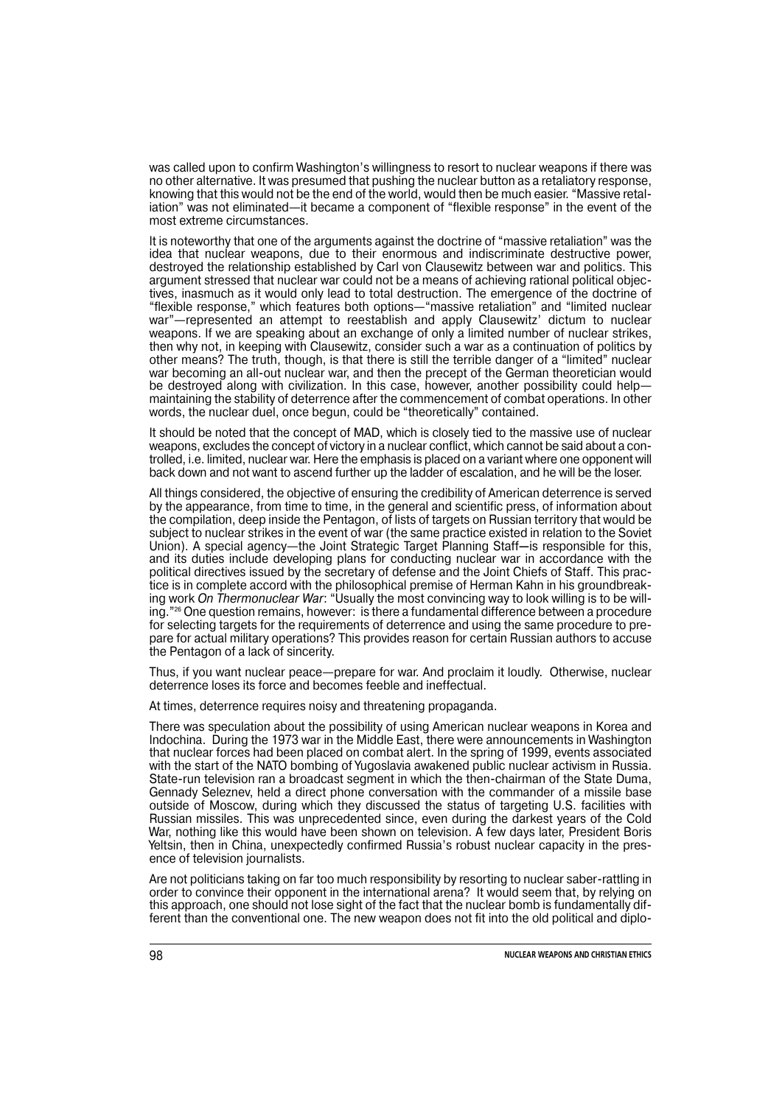was called upon to confirm Washington's willingness to resort to nuclear weapons if there was no other alternative. It was presumed that pushing the nuclear button as a retaliatory response, knowing that this would not be the end of the world, would then be much easier. "Massive retal iation" was not eliminated—it became a component of "flexible response" in the event of the most extreme circumstances.

It is noteworthy that one of the arguments against the doctrine of "massive retaliation" was the idea that nuclear weapons, due to their enormous and indiscriminate destructive power, destroyed the relationship established by Carl von Clausewitz between war and politics. This argument stressed that nuclear war could not be a means of achieving rational political objec tives, inasmuch as it would only lead to total destruction. The emergence of the doctrine of "flexible response," which features both options—"massive retaliation" and "limited nuclear war"—represented an attempt to reestablish and apply Clausewitz' dictum to nuclear weapons. If we are speaking about an exchange of only a limited number of nuclear strikes, then why not, in keeping with Clausewitz, consider such a war as a continuation of politics by other means? The truth, though, is that there is still the terrible danger of a "limited" nuclear war becoming an all-out nuclear war, and then the precept of the German theoretician would be destroyed along with civilization. In this case, however, another possibility could help maintaining the stability of deterrence after the commencement of combat operations. In other words, the nuclear duel, once begun, could be "theoretically" contained.

It should be noted that the concept of MAD, which is closely tied to the massive use of nuclear weapons, excludes the concept of victory in a nuclear conflict, which cannot be said about a con trolled, i.e. limited, nuclear war. Here the emphasis is placed on a variant where one opponent will back down and not want to ascend further up the ladder of escalation, and he will be the loser.

All things considered, the objective of ensuring the credibility of American deterrence is served by the appearance, from time to time, in the general and scientific press, of information about the compilation, deep inside the Pentagon, of lists of targets on Russian territory that would be subject to nuclear strikes in the event of war (the same practice existed in relation to the Soviet Union). A special agency—the Joint Strategic Target Planning Staff**—**is responsible for this, and its duties include developing plans for conducting nuclear war in accordance with the political directives issued by the secretary of defense and the Joint Chiefs of Staff. This prac tice is in complete accord with the philosophical premise of Herman Kahn in his groundbreak ing work On Thermonuclear War: "Usually the most convincing way to look willing is to be willing."26 One question remains, however: is there a fundamental difference between a procedure for selecting targets for the requirements of deterrence and using the same procedure to pre pare for actual military operations? This provides reason for certain Russian authors to accuse the Pentagon of a lack of sincerity.

Thus, if you want nuclear peace—prepare for war. And proclaim it loudly. Otherwise, nuclear deterrence loses its force and becomes feeble and ineffectual.

At times, deterrence requires noisy and threatening propaganda.

There was speculation about the possibility of using American nuclear weapons in Korea and Indochina. During the 1973 war in the Middle East, there were announcements in Washington that nuclear forces had been placed on combat alert. In the spring of 1999, events associated with the start of the NATO bombing of Yugoslavia awakened public nuclear activism in Russia. State-run television ran a broadcast segment in which the then-chairman of the State Duma, Gennady Seleznev, held a direct phone conversation with the commander of a missile base outside of Moscow, during which they discussed the status of targeting U.S. facilities with Russian missiles. This was unprecedented since, even during the darkest years of the Cold War, nothing like this would have been shown on television. A few days later, President Boris Yeltsin, then in China, unexpectedly confirmed Russia's robust nuclear capacity in the pres ence of television journalists.

Are not politicians taking on far too much responsibility by resorting to nuclear saber-rattling in order to convince their opponent in the international arena? It would seem that, by relying on this approach, one should not lose sight of the fact that the nuclear bomb is fundamentally dif ferent than the conventional one. The new weapon does not fit into the old political and diplo-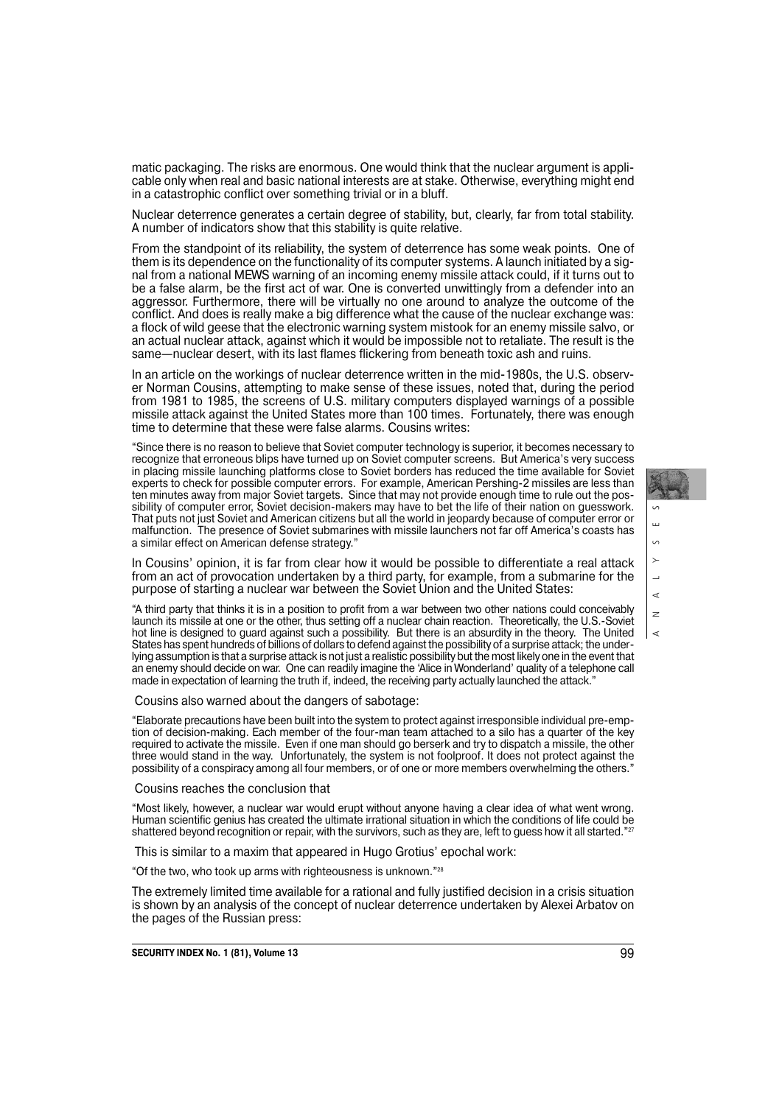matic packaging. The risks are enormous. One would think that the nuclear argument is appli cable only when real and basic national interests are at stake. Otherwise, everything might end in a catastrophic conflict over something trivial or in a bluff.

Nuclear deterrence generates a certain degree of stability, but, clearly, far from total stability. A number of indicators show that this stability is quite relative.

From the standpoint of its reliability, the system of deterrence has some weak points. One of them is its dependence on the functionality of its computer systems. A launch initiated by a sig nal from a national MEWS warning of an incoming enemy missile attack could, if it turns out to be a false alarm, be the first act of war. One is converted unwittingly from a defender into an aggressor. Furthermore, there will be virtually no one around to analyze the outcome of the conflict. And does is really make a big difference what the cause of the nuclear exchange was: a flock of wild geese that the electronic warning system mistook for an enemy missile salvo, or an actual nuclear attack, against which it would be impossible not to retaliate. The result is the same—nuclear desert, with its last flames flickering from beneath toxic ash and ruins.

In an article on the workings of nuclear deterrence written in the mid-1980s, the U.S. observ er Norman Cousins, attempting to make sense of these issues, noted that, during the period from 1981 to 1985, the screens of U.S. military computers displayed warnings of a possible missile attack against the United States more than 100 times. Fortunately, there was enough time to determine that these were false alarms. Cousins writes:

"Since there is no reason to believe that Soviet computer technology is superior, it becomes necessary to recognize that erroneous blips have turned up on Soviet computer screens. But America's very success in placing missile launching platforms close to Soviet borders has reduced the time available for Soviet experts to check for possible computer errors. For example, American Pershing-2 missiles are less than ten minutes away from major Soviet targets. Since that may not provide enough time to rule out the pos sibility of computer error, Soviet decision-makers may have to bet the life of their nation on guesswork. That puts not just Soviet and American citizens but all the world in jeopardy because of computer error or malfunction. The presence of Soviet submarines with missile launchers not far off America's coasts has a similar effect on American defense strategy."

In Cousins' opinion, it is far from clear how it would be possible to differentiate a real attack from an act of provocation undertaken by a third party, for example, from a submarine for the purpose of starting a nuclear war between the Soviet Union and the United States:

"A third party that thinks it is in a position to profit from a war between two other nations could conceivably launch its missile at one or the other, thus setting off a nuclear chain reaction. Theoretically, the U.S.-Soviet hot line is designed to guard against such a possibility. But there is an absurdity in the theory. The United States has spent hundreds of billions of dollars to defend against the possibility of a surprise attack; the under lying assumption is that a surprise attack is not just a realistic possibility but the most likely one in the event that an enemy should decide on war. One can readily imagine the 'Alice in Wonderland' quality of a telephone call made in expectation of learning the truth if, indeed, the receiving party actually launched the attack."

Cousins also warned about the dangers of sabotage:

"Elaborate precautions have been built into the system to protect against irresponsible individual pre-emp tion of decision-making. Each member of the four-man team attached to a silo has a quarter of the key required to activate the missile. Even if one man should go berserk and try to dispatch a missile, the other three would stand in the way. Unfortunately, the system is not foolproof. It does not protect against the possibility of a conspiracy among all four members, or of one or more members overwhelming the others."

Cousins reaches the conclusion that

"Most likely, however, a nuclear war would erupt without anyone having a clear idea of what went wrong. Human scientific genius has created the ultimate irrational situation in which the conditions of life could be shattered beyond recognition or repair, with the survivors, such as they are, left to quess how it all started."<sup>27</sup>

This is similar to a maxim that appeared in Hugo Grotius' epochal work:

"Of the two, who took up arms with righteousness is unknown."28

The extremely limited time available for a rational and fully justified decision in a crisis situation is shown by an analysis of the concept of nuclear deterrence undertaken by Alexei Arbatov on the pages of the Russian press:

ANALYSES

 $\sim$  $\prec$  $\overline{z}$ ∢

Ш  $\sim$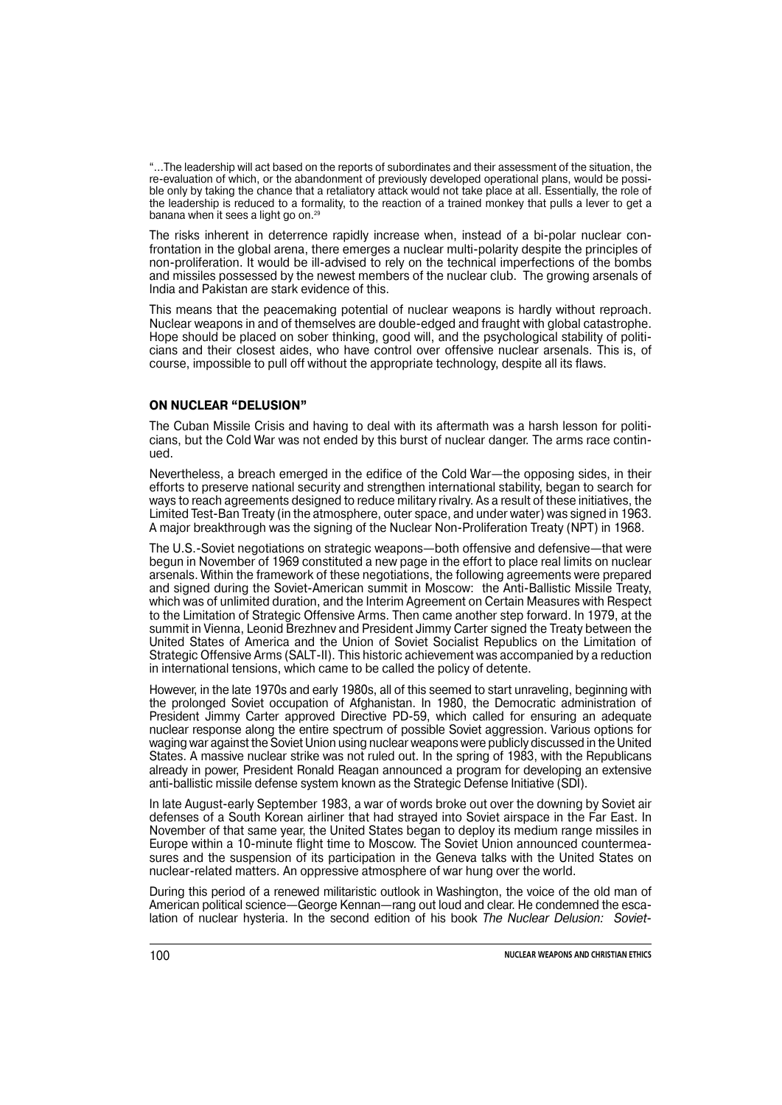"...The leadership will act based on the reports of subordinates and their assessment of the situation, the re-evaluation of which, or the abandonment of previously developed operational plans, would be possi ble only by taking the chance that a retaliatory attack would not take place at all. Essentially, the role of the leadership is reduced to a formality, to the reaction of a trained monkey that pulls a lever to get a banana when it sees a light go on.<sup>29</sup>

The risks inherent in deterrence rapidly increase when, instead of a bi-polar nuclear con frontation in the global arena, there emerges a nuclear multi-polarity despite the principles of non-proliferation. It would be ill-advised to rely on the technical imperfections of the bombs and missiles possessed by the newest members of the nuclear club. The growing arsenals of India and Pakistan are stark evidence of this.

This means that the peacemaking potential of nuclear weapons is hardly without reproach. Nuclear weapons in and of themselves are double-edged and fraught with global catastrophe. Hope should be placed on sober thinking, good will, and the psychological stability of politi cians and their closest aides, who have control over offensive nuclear arsenals. This is, of course, impossible to pull off without the appropriate technology, despite all its flaws.

## **ON NUCLEAR "DELUSION"**

The Cuban Missile Crisis and having to deal with its aftermath was a harsh lesson for politi cians, but the Cold War was not ended by this burst of nuclear danger. The arms race contin ued.

Nevertheless, a breach emerged in the edifice of the Cold War—the opposing sides, in their efforts to preserve national security and strengthen international stability, began to search for ways to reach agreements designed to reduce military rivalry. As a result of these initiatives, the Limited Test-Ban Treaty (in the atmosphere, outer space, and under water) was signed in 1963. A major breakthrough was the signing of the Nuclear Non-Proliferation Treaty (NPT) in 1968.

The U.S.-Soviet negotiations on strategic weapons—both offensive and defensive—that were begun in November of 1969 constituted a new page in the effort to place real limits on nuclear arsenals. Within the framework of these negotiations, the following agreements were prepared and signed during the Soviet-American summit in Moscow: the Anti-Ballistic Missile Treaty, which was of unlimited duration, and the Interim Agreement on Certain Measures with Respect to the Limitation of Strategic Offensive Arms. Then came another step forward. In 1979, at the summit in Vienna, Leonid Brezhnev and President Jimmy Carter signed the Treaty between the United States of America and the Union of Soviet Socialist Republics on the Limitation of Strategic Offensive Arms (SALT-II). This historic achievement was accompanied by a reduction in international tensions, which came to be called the policy of detente.

However, in the late 1970s and early 1980s, all of this seemed to start unraveling, beginning with the prolonged Soviet occupation of Afghanistan. In 1980, the Democratic administration of President Jimmy Carter approved Directive PD-59, which called for ensuring an adequate nuclear response along the entire spectrum of possible Soviet aggression. Various options for waging war against the Soviet Union using nuclear weapons were publicly discussed in the United States. A massive nuclear strike was not ruled out. In the spring of 1983, with the Republicans already in power, President Ronald Reagan announced a program for developing an extensive anti-ballistic missile defense system known as the Strategic Defense Initiative (SDI).

In late August-early September 1983, a war of words broke out over the downing by Soviet air defenses of a South Korean airliner that had strayed into Soviet airspace in the Far East. In November of that same year, the United States began to deploy its medium range missiles in Europe within a 10-minute flight time to Moscow. The Soviet Union announced countermea sures and the suspension of its participation in the Geneva talks with the United States on nuclear-related matters. An oppressive atmosphere of war hung over the world.

During this period of a renewed militaristic outlook in Washington, the voice of the old man of American political science—George Kennan—rang out loud and clear. He condemned the esca lation of nuclear hysteria. In the second edition of his book *The Nuclear Delusion: Soviet-*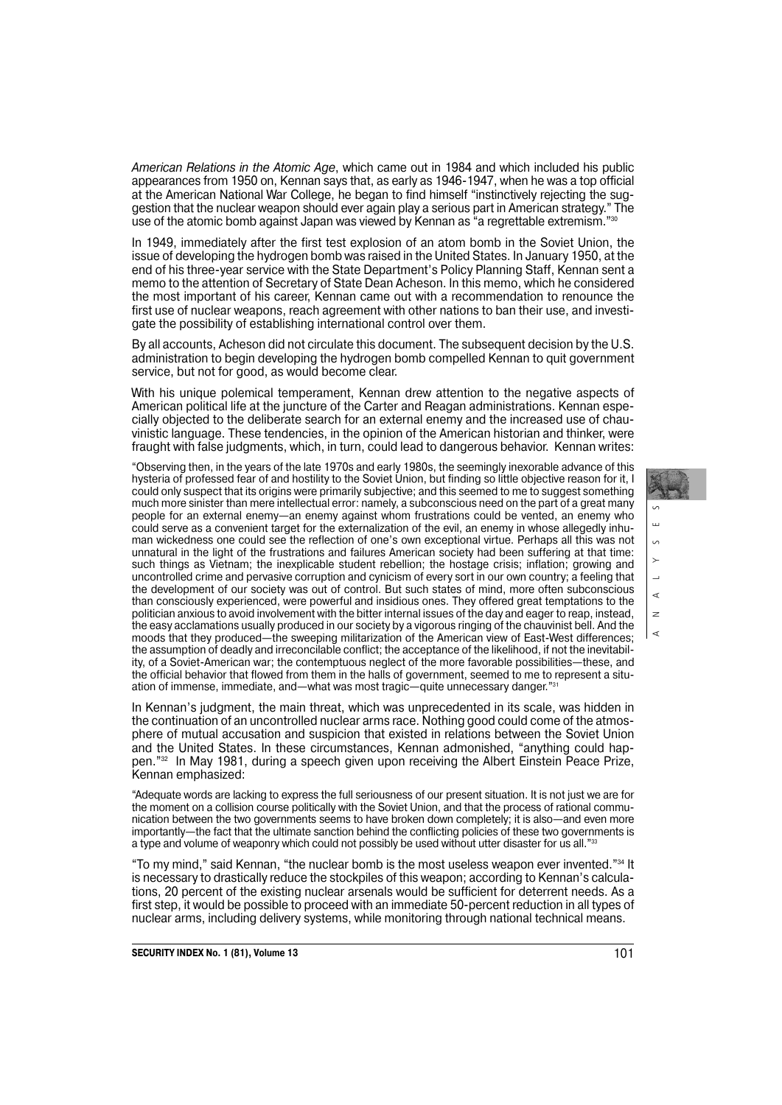American Relations in the Atomic Age, which came out in 1984 and which included his public appearances from 1950 on, Kennan says that, as early as 1946-1947, when he was a top official at the American National War College, he began to find himself "instinctively rejecting the sug gestion that the nuclear weapon should ever again play a serious part in American strategy." The use of the atomic bomb against Japan was viewed by Kennan as "a regrettable extremism."

In 1949, immediately after the first test explosion of an atom bomb in the Soviet Union, the issue of developing the hydrogen bomb was raised in the United States. In January 1950, at the end of his three-year service with the State Department's Policy Planning Staff, Kennan sent a memo to the attention of Secretary of State Dean Acheson. In this memo, which he considered the most important of his career, Kennan came out with a recommendation to renounce the first use of nuclear weapons, reach agreement with other nations to ban their use, and investi gate the possibility of establishing international control over them.

By all accounts, Acheson did not circulate this document. The subsequent decision by the U.S. administration to begin developing the hydrogen bomb compelled Kennan to quit government service, but not for good, as would become clear.

With his unique polemical temperament, Kennan drew attention to the negative aspects of American political life at the juncture of the Carter and Reagan administrations. Kennan espe cially objected to the deliberate search for an external enemy and the increased use of chau vinistic language. These tendencies, in the opinion of the American historian and thinker, were fraught with false judgments, which, in turn, could lead to dangerous behavior. Kennan writes:

"Observing then, in the years of the late 1970s and early 1980s, the seemingly inexorable advance of this hysteria of professed fear of and hostility to the Soviet Union, but finding so little objective reason for it, I could only suspect that its origins were primarily subjective; and this seemed to me to suggest something much more sinister than mere intellectual error: namely, a subconscious need on the part of a great many people for an external enemy—an enemy against whom frustrations could be vented, an enemy who could serve as a convenient target for the externalization of the evil, an enemy in whose allegedly inhu man wickedness one could see the reflection of one's own exceptional virtue. Perhaps all this was not unnatural in the light of the frustrations and failures American society had been suffering at that time: such things as Vietnam; the inexplicable student rebellion; the hostage crisis; inflation; growing and uncontrolled crime and pervasive corruption and cynicism of every sort in our own country; a feeling that the development of our society was out of control. But such states of mind, more often subconscious than consciously experienced, were powerful and insidious ones. They offered great temptations to the politician anxious to avoid involvement with the bitter internal issues of the day and eager to reap, instead, the easy acclamations usually produced in our society by a vigorous ringing of the chauvinist bell. And the moods that they produced—the sweeping militarization of the American view of East-West differences; the assumption of deadly and irreconcilable conflict; the acceptance of the likelihood, if not the inevitabil ity, of a Soviet-American war; the contemptuous neglect of the more favorable possibilities—these, and the official behavior that flowed from them in the halls of government, seemed to me to represent a situ ation of immense, immediate, and—what was most tragic—quite unnecessary danger."

In Kennan's judgment, the main threat, which was unprecedented in its scale, was hidden in the continuation of an uncontrolled nuclear arms race. Nothing good could come of the atmos phere of mutual accusation and suspicion that existed in relations between the Soviet Union and the United States. In these circumstances, Kennan admonished, "anything could hap pen."32 In May 1981, during a speech given upon receiving the Albert Einstein Peace Prize, Kennan emphasized:

"Adequate words are lacking to express the full seriousness of our present situation. It is not just we are for the moment on a collision course politically with the Soviet Union, and that the process of rational communication between the two governments seems to have broken down completely; it is also—and even more importantly—the fact that the ultimate sanction behind the conflicting policies of these two governments is a type and volume of weaponry which could not possibly be used without utter disaster for us all."33

"To my mind," said Kennan, "the nuclear bomb is the most useless weapon ever invented."34 It is necessary to drastically reduce the stockpiles of this weapon; according to Kennan's calcula tions, 20 percent of the existing nuclear arsenals would be sufficient for deterrent needs. As a first step, it would be possible to proceed with an immediate 50-percent reduction in all types of nuclear arms, including delivery systems, while monitoring through national technical means.

 $\ddot{a}$  $\sim$ 

 $\sim$  $\prec$  $\rightarrow$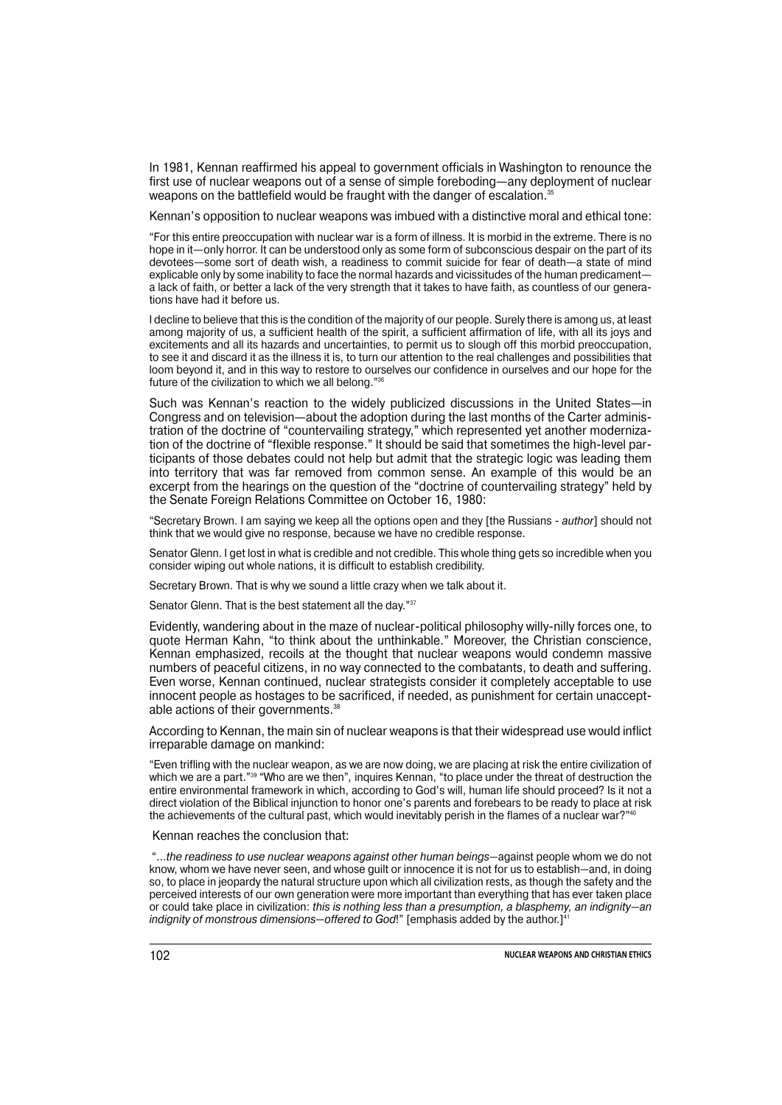In 1981, Kennan reaffirmed his appeal to government officials in Washington to renounce the first use of nuclear weapons out of a sense of simple foreboding—any deployment of nuclear weapons on the battlefield would be fraught with the danger of escalation.<sup>35</sup>

Kennan's opposition to nuclear weapons was imbued with a distinctive moral and ethical tone:

"For this entire preoccupation with nuclear war is a form of illness. It is morbid in the extreme. There is no hope in it—only horror. It can be understood only as some form of subconscious despair on the part of its devotees—some sort of death wish, a readiness to commit suicide for fear of death—a state of mind explicable only by some inability to face the normal hazards and vicissitudes of the human predicament a lack of faith, or better a lack of the very strength that it takes to have faith, as countless of our genera tions have had it before us.

I decline to believe that this is the condition of the majority of our people. Surely there is among us, at least among majority of us, a sufficient health of the spirit, a sufficient affirmation of life, with all its joys and excitements and all its hazards and uncertainties, to permit us to slough off this morbid preoccupation, to see it and discard it as the illness it is, to turn our attention to the real challenges and possibilities that loom beyond it, and in this way to restore to ourselves our confidence in ourselves and our hope for the future of the civilization to which we all belong."3

Such was Kennan's reaction to the widely publicized discussions in the United States—in Congress and on television—about the adoption during the last months of the Carter adminis tration of the doctrine of "countervailing strategy," which represented yet another moderniza tion of the doctrine of "flexible response." It should be said that sometimes the high-level par ticipants of those debates could not help but admit that the strategic logic was leading them into territory that was far removed from common sense. An example of this would be an excerpt from the hearings on the question of the "doctrine of countervailing strategy" held by the Senate Foreign Relations Committee on October 16, 1980:

"Secretary Brown. I am saying we keep all the options open and they [the Russians - author] should not think that we would give no response, because we have no credible response.

Senator Glenn. I get lost in what is credible and not credible. This whole thing gets so incredible when you consider wiping out whole nations, it is difficult to establish credibility.

Secretary Brown. That is why we sound a little crazy when we talk about it.

Senator Glenn. That is the best statement all the day."37

Evidently, wandering about in the maze of nuclear-political philosophy willy-nilly forces one, to quote Herman Kahn, "to think about the unthinkable." Moreover, the Christian conscience, Kennan emphasized, recoils at the thought that nuclear weapons would condemn massive numbers of peaceful citizens, in no way connected to the combatants, to death and suffering. Even worse, Kennan continued, nuclear strategists consider it completely acceptable to use innocent people as hostages to be sacrificed, if needed, as punishment for certain unaccept able actions of their governments.<sup>38</sup>

According to Kennan, the main sin of nuclear weapons is that their widespread use would inflict irreparable damage on mankind:

"Even trifling with the nuclear weapon, as we are now doing, we are placing at risk the entire civilization of which we are a part."<sup>39</sup> "Who are we then", inquires Kennan, "to place under the threat of destruction the entire environmental framework in which, according to God's will, human life should proceed? Is it not a direct violation of the Biblical injunction to honor one's parents and forebears to be ready to place at risk the achievements of the cultural past, which would inevitably perish in the flames of a nuclear war?"<sup>40</sup>

#### Kennan reaches the conclusion that:

"…the readiness to use nuclear weapons against other human beings—against people whom we do not know, whom we have never seen, and whose guilt or innocence it is not for us to establish—and, in doing so, to place in jeopardy the natural structure upon which all civilization rests, as though the safety and the perceived interests of our own generation were more important than everything that has ever taken place or could take place in civilization: this is nothing less than a presumption, a blasphemy, an indignity—an indignity of monstrous dimensions—offered to God!" [emphasis added by the author.] $4$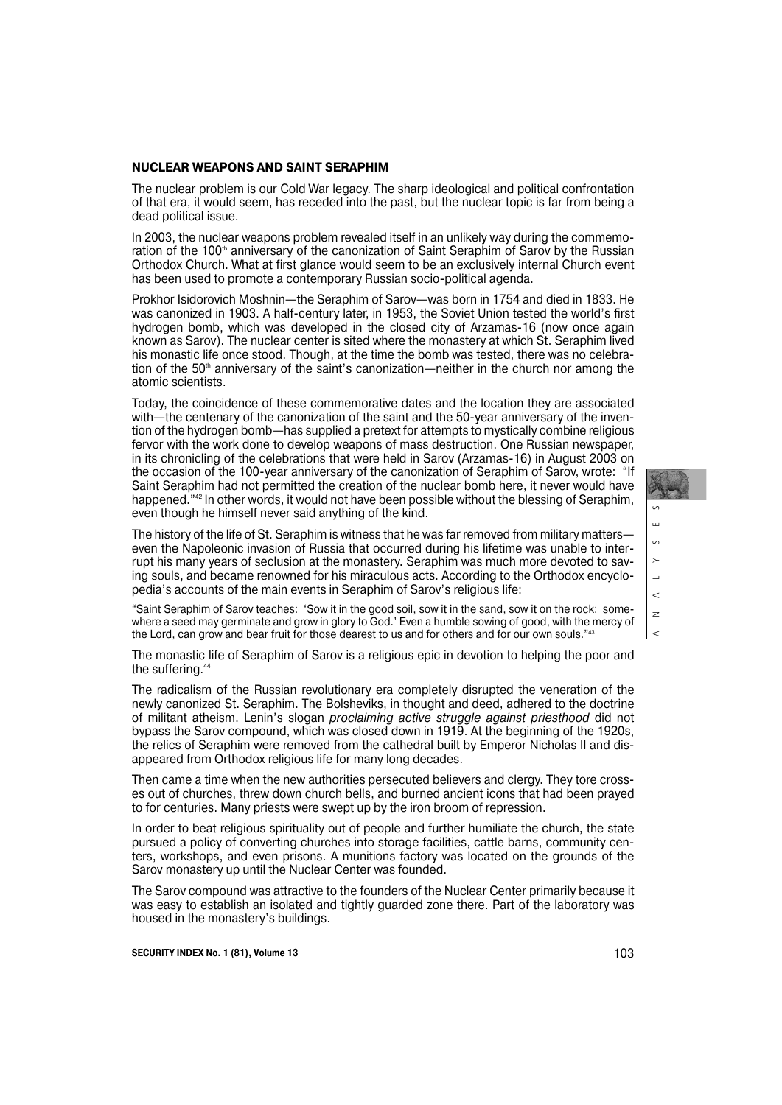## **NUCLEAR WEAPONS AND SAINT SERAPHIM**

The nuclear problem is our Cold War legacy. The sharp ideological and political confrontation of that era, it would seem, has receded into the past, but the nuclear topic is far from being a dead political issue.

In 2003, the nuclear weapons problem revealed itself in an unlikely way during the commemo ration of the 100<sup>th</sup> anniversary of the canonization of Saint Seraphim of Sarov by the Russian Orthodox Church. What at first glance would seem to be an exclusively internal Church event has been used to promote a contemporary Russian socio-political agenda.

Prokhor Isidorovich Moshnin—the Seraphim of Sarov—was born in 1754 and died in 1833. He was canonized in 1903. A half-century later, in 1953, the Soviet Union tested the world's first hydrogen bomb, which was developed in the closed city of Arzamas-16 (now once again known as Sarov). The nuclear center is sited where the monastery at which St. Seraphim lived his monastic life once stood. Though, at the time the bomb was tested, there was no celebra tion of the  $50<sup>th</sup>$  anniversary of the saint's canonization—neither in the church nor among the atomic scientists.

Today, the coincidence of these commemorative dates and the location they are associated with—the centenary of the canonization of the saint and the 50-year anniversary of the inven tion of the hydrogen bomb—has supplied a pretext for attempts to mystically combine religious fervor with the work done to develop weapons of mass destruction. One Russian newspaper, in its chronicling of the celebrations that were held in Sarov (Arzamas-16) in August 2003 on the occasion of the 100-year anniversary of the canonization of Seraphim of Sarov, wrote: "If Saint Seraphim had not permitted the creation of the nuclear bomb here, it never would have happened."<sup>42</sup> In other words, it would not have been possible without the blessing of Seraphim, even though he himself never said anything of the kind.

The history of the life of St. Seraphim is witness that he was far removed from military matters even the Napoleonic invasion of Russia that occurred during his lifetime was unable to inter rupt his many years of seclusion at the monastery. Seraphim was much more devoted to sav ing souls, and became renowned for his miraculous acts. According to the Orthodox encyclo pedia's accounts of the main events in Seraphim of Sarov's religious life:

"Saint Seraphim of Sarov teaches: 'Sow it in the good soil, sow it in the sand, sow it on the rock: some where a seed may germinate and grow in glory to God.' Even a humble sowing of good, with the mercy of the Lord, can grow and bear fruit for those dearest to us and for others and for our own souls."43

The monastic life of Seraphim of Sarov is a religious epic in devotion to helping the poor and the suffering.<sup>44</sup>

The radicalism of the Russian revolutionary era completely disrupted the veneration of the newly canonized St. Seraphim. The Bolsheviks, in thought and deed, adhered to the doctrine of militant atheism. Lenin's slogan proclaiming active struggle against priesthood did not bypass the Sarov compound, which was closed down in 1919. At the beginning of the 1920s, the relics of Seraphim were removed from the cathedral built by Emperor Nicholas II and dis appeared from Orthodox religious life for many long decades.

Then came a time when the new authorities persecuted believers and clergy. They tore cross es out of churches, threw down church bells, and burned ancient icons that had been prayed to for centuries. Many priests were swept up by the iron broom of repression.

In order to beat religious spirituality out of people and further humiliate the church, the state pursued a policy of converting churches into storage facilities, cattle barns, community cen ters, workshops, and even prisons. A munitions factory was located on the grounds of the Sarov monastery up until the Nuclear Center was founded.

The Sarov compound was attractive to the founders of the Nuclear Center primarily because it was easy to establish an isolated and tightly guarded zone there. Part of the laboratory was housed in the monastery's buildings.

ANALYSES

 $\sim$  $\prec$  $\geq$ ∢

 $\overline{111}$  $\circ$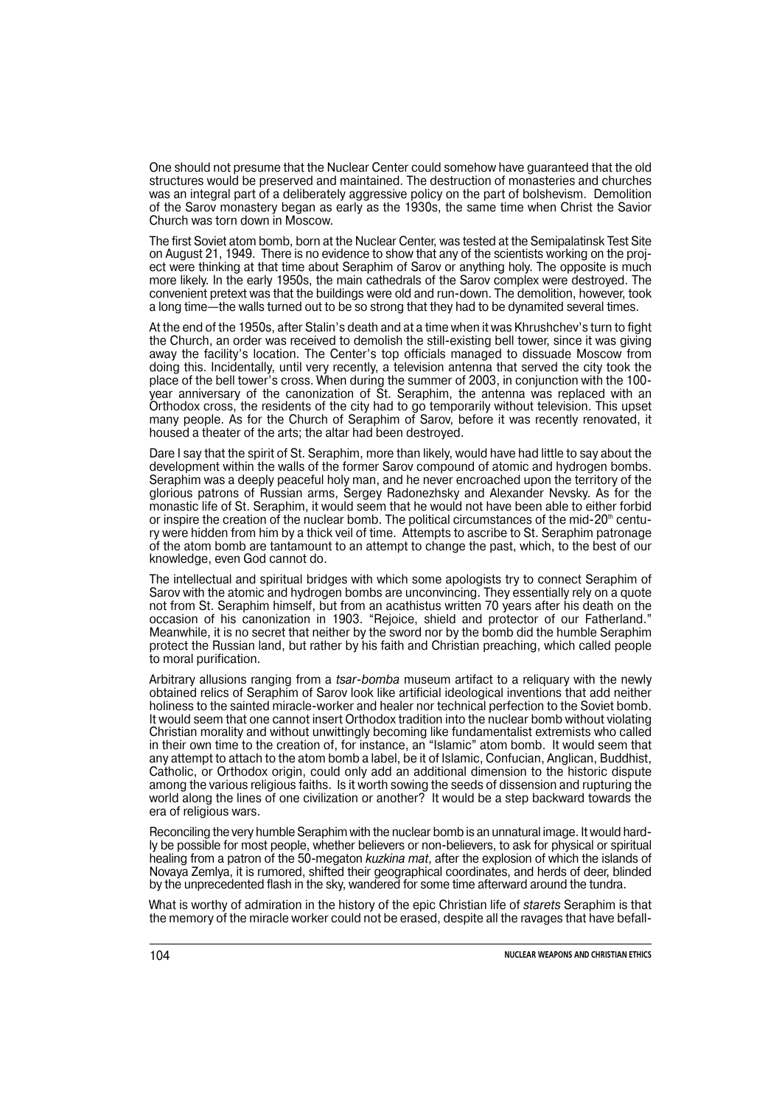One should not presume that the Nuclear Center could somehow have guaranteed that the old structures would be preserved and maintained. The destruction of monasteries and churches was an integral part of a deliberately aggressive policy on the part of bolshevism. Demolition of the Sarov monastery began as early as the 1930s, the same time when Christ the Savior Church was torn down in Moscow.

The first Soviet atom bomb, born at the Nuclear Center, was tested at the Semipalatinsk Test Site on August 21, 1949. There is no evidence to show that any of the scientists working on the proj ect were thinking at that time about Seraphim of Sarov or anything holy. The opposite is much more likely. In the early 1950s, the main cathedrals of the Sarov complex were destroyed. The convenient pretext was that the buildings were old and run-down. The demolition, however, took a long time—the walls turned out to be so strong that they had to be dynamited several times.

At the end of the 1950s, after Stalin's death and at a time when it was Khrushchev's turn to fight the Church, an order was received to demolish the still-existing bell tower, since it was giving away the facility's location. The Center's top officials managed to dissuade Moscow from doing this. Incidentally, until very recently, a television antenna that served the city took the place of the bell tower's cross. When during the summer of 2003, in conjunction with the 100 year anniversary of the canonization of St. Seraphim, the antenna was replaced with an Orthodox cross, the residents of the city had to go temporarily without television. This upset many people. As for the Church of Seraphim of Sarov, before it was recently renovated, it housed a theater of the arts; the altar had been destroyed.

Dare I say that the spirit of St. Seraphim, more than likely, would have had little to say about the development within the walls of the former Sarov compound of atomic and hydrogen bombs. Seraphim was a deeply peaceful holy man, and he never encroached upon the territory of the glorious patrons of Russian arms, Sergey Radonezhsky and Alexander Nevsky. As for the monastic life of St. Seraphim, it would seem that he would not have been able to either forbid or inspire the creation of the nuclear bomb. The political circumstances of the mid-20<sup>th</sup> century were hidden from him by a thick veil of time. Attempts to ascribe to St. Seraphim patronage of the atom bomb are tantamount to an attempt to change the past, which, to the best of our knowledge, even God cannot do.

The intellectual and spiritual bridges with which some apologists try to connect Seraphim of Sarov with the atomic and hydrogen bombs are unconvincing. They essentially rely on a quote not from St. Seraphim himself, but from an acathistus written 70 years after his death on the occasion of his canonization in 1903. "Rejoice, shield and protector of our Fatherland." Meanwhile, it is no secret that neither by the sword nor by the bomb did the humble Seraphim protect the Russian land, but rather by his faith and Christian preaching, which called people to moral purification.

Arbitrary allusions ranging from a tsar-bomba museum artifact to a reliquary with the newly obtained relics of Seraphim of Sarov look like artificial ideological inventions that add neither holiness to the sainted miracle-worker and healer nor technical perfection to the Soviet bomb. It would seem that one cannot insert Orthodox tradition into the nuclear bomb without violating Christian morality and without unwittingly becoming like fundamentalist extremists who called in their own time to the creation of, for instance, an "Islamic" atom bomb. It would seem that any attempt to attach to the atom bomb a label, be it of Islamic, Confucian, Anglican, Buddhist, Catholic, or Orthodox origin, could only add an additional dimension to the historic dispute among the various religious faiths. Is it worth sowing the seeds of dissension and rupturing the world along the lines of one civilization or another? It would be a step backward towards the era of religious wars.

Reconciling the very humble Seraphim with the nuclear bomb is an unnatural image. It would hard ly be possible for most people, whether believers or non-believers, to ask for physical or spiritual healing from a patron of the 50-megaton kuzkina mat, after the explosion of which the islands of Novaya Zemlya, it is rumored, shifted their geographical coordinates, and herds of deer, blinded by the unprecedented flash in the sky, wandered for some time afterward around the tundra.

What is worthy of admiration in the history of the epic Christian life of *starets* Seraphim is that the memory of the miracle worker could not be erased, despite all the ravages that have befall-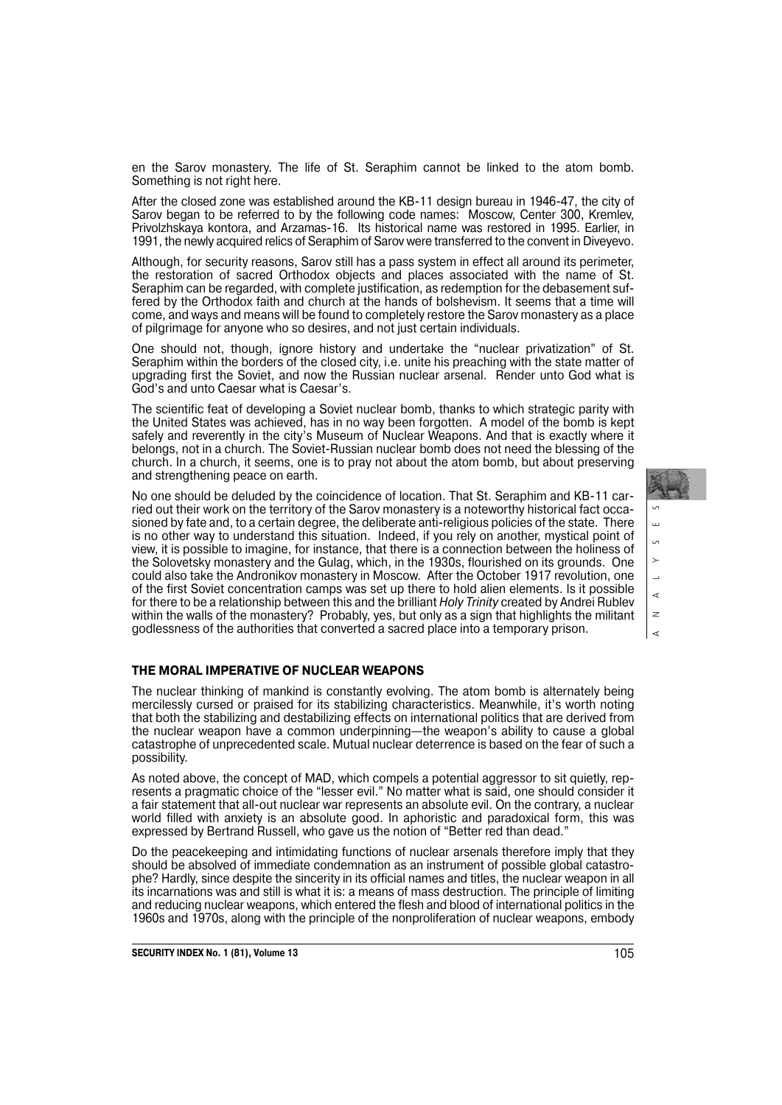en the Sarov monastery. The life of St. Seraphim cannot be linked to the atom bomb. Something is not right here.

After the closed zone was established around the KB-11 design bureau in 1946-47, the city of Sarov began to be referred to by the following code names: Moscow, Center 300, Kremlev, Privolzhskaya kontora, and Arzamas-16. Its historical name was restored in 1995. Earlier, in 1991, the newly acquired relics of Seraphim of Sarov were transferred to the convent in Diveyevo.

Although, for security reasons, Sarov still has a pass system in effect all around its perimeter, the restoration of sacred Orthodox objects and places associated with the name of St. Seraphim can be regarded, with complete justification, as redemption for the debasement suf fered by the Orthodox faith and church at the hands of bolshevism. It seems that a time will come, and ways and means will be found to completely restore the Sarov monastery as a place of pilgrimage for anyone who so desires, and not just certain individuals.

One should not, though, ignore history and undertake the "nuclear privatization" of St. Seraphim within the borders of the closed city, i.e. unite his preaching with the state matter of upgrading first the Soviet, and now the Russian nuclear arsenal. Render unto God what is God's and unto Caesar what is Caesar's.

The scientific feat of developing a Soviet nuclear bomb, thanks to which strategic parity with the United States was achieved, has in no way been forgotten. A model of the bomb is kept safely and reverently in the city's Museum of Nuclear Weapons. And that is exactly where it belongs, not in a church. The Soviet-Russian nuclear bomb does not need the blessing of the church. In a church, it seems, one is to pray not about the atom bomb, but about preserving and strengthening peace on earth.

No one should be deluded by the coincidence of location. That St. Seraphim and KB-11 car ried out their work on the territory of the Sarov monastery is a noteworthy historical fact occa sioned by fate and, to a certain degree, the deliberate anti-religious policies of the state. There is no other way to understand this situation. Indeed, if you rely on another, mystical point of view, it is possible to imagine, for instance, that there is a connection between the holiness of the Solovetsky monastery and the Gulag, which, in the 1930s, flourished on its grounds. One could also take the Andronikov monastery in Moscow. After the October 1917 revolution, one of the first Soviet concentration camps was set up there to hold alien elements. Is it possible for there to be a relationship between this and the brilliant Holy Trinity created by Andrei Rublev within the walls of the monastery? Probably, yes, but only as a sign that highlights the militant godlessness of the authorities that converted a sacred place into a temporary prison.

# **THE MORAL IMPERATIVE OF NUCLEAR WEAPONS**

The nuclear thinking of mankind is constantly evolving. The atom bomb is alternately being mercilessly cursed or praised for its stabilizing characteristics. Meanwhile, it's worth noting that both the stabilizing and destabilizing effects on international politics that are derived from the nuclear weapon have a common underpinning—the weapon's ability to cause a global catastrophe of unprecedented scale. Mutual nuclear deterrence is based on the fear of such a possibility.

As noted above, the concept of MAD, which compels a potential aggressor to sit quietly, rep resents a pragmatic choice of the "lesser evil." No matter what is said, one should consider it a fair statement that all-out nuclear war represents an absolute evil. On the contrary, a nuclear world filled with anxiety is an absolute good. In aphoristic and paradoxical form, this was expressed by Bertrand Russell, who gave us the notion of "Better red than dead."

Do the peacekeeping and intimidating functions of nuclear arsenals therefore imply that they should be absolved of immediate condemnation as an instrument of possible global catastro phe? Hardly, since despite the sincerity in its official names and titles, the nuclear weapon in all its incarnations was and still is what it is: a means of mass destruction. The principle of limiting and reducing nuclear weapons, which entered the flesh and blood of international politics in the 1960s and 1970s, along with the principle of the nonproliferation of nuclear weapons, embody ANALYSES

 $\mathbf{r}$  $\prec$  $\overline{z}$ ∢

 $\ddot{a}$  $\circ$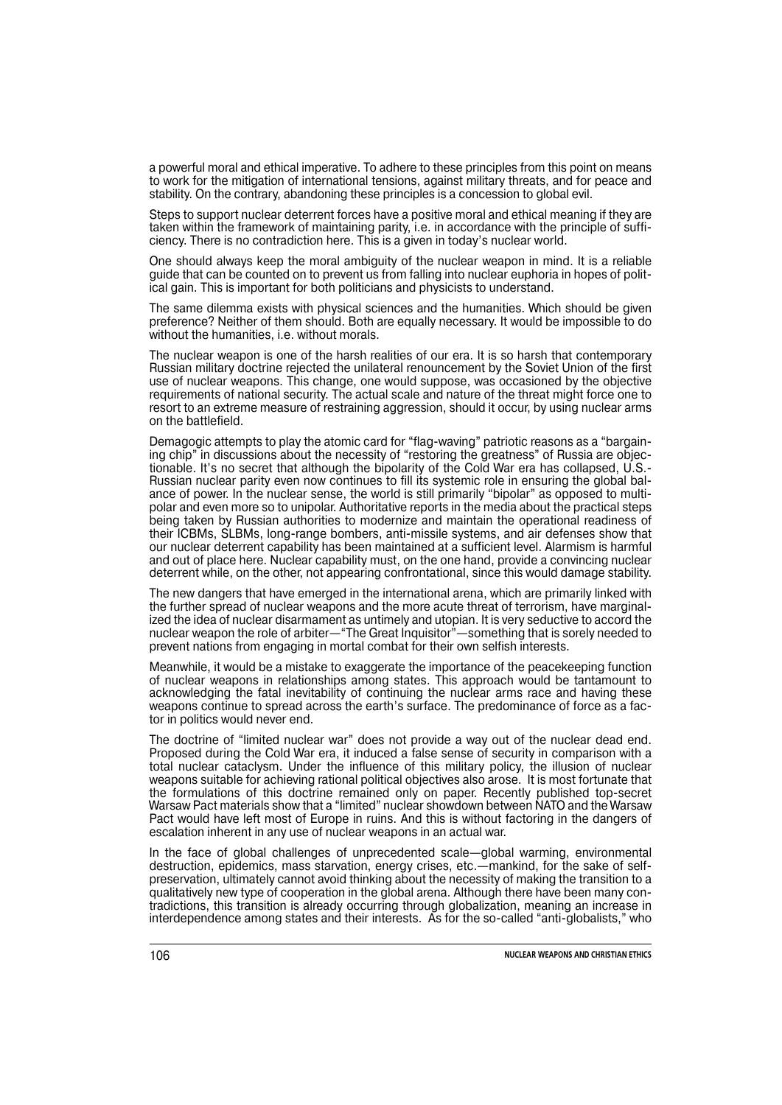a powerful moral and ethical imperative. To adhere to these principles from this point on means to work for the mitigation of international tensions, against military threats, and for peace and stability. On the contrary, abandoning these principles is a concession to global evil.

Steps to support nuclear deterrent forces have a positive moral and ethical meaning if they are taken within the framework of maintaining parity, i.e. in accordance with the principle of suffi ciency. There is no contradiction here. This is a given in today's nuclear world.

One should always keep the moral ambiguity of the nuclear weapon in mind. It is a reliable guide that can be counted on to prevent us from falling into nuclear euphoria in hopes of polit ical gain. This is important for both politicians and physicists to understand.

The same dilemma exists with physical sciences and the humanities. Which should be given preference? Neither of them should. Both are equally necessary. It would be impossible to do without the humanities, i.e. without morals.

The nuclear weapon is one of the harsh realities of our era. It is so harsh that contemporary Russian military doctrine rejected the unilateral renouncement by the Soviet Union of the first use of nuclear weapons. This change, one would suppose, was occasioned by the objective requirements of national security. The actual scale and nature of the threat might force one to resort to an extreme measure of restraining aggression, should it occur, by using nuclear arms on the battlefield.

Demagogic attempts to play the atomic card for "flag-waving" patriotic reasons as a "bargain ing chip" in discussions about the necessity of "restoring the greatness" of Russia are objec tionable. It's no secret that although the bipolarity of the Cold War era has collapsed, U.S.- Russian nuclear parity even now continues to fill its systemic role in ensuring the global bal ance of power. In the nuclear sense, the world is still primarily "bipolar" as opposed to multi polar and even more so to unipolar. Authoritative reports in the media about the practical steps being taken by Russian authorities to modernize and maintain the operational readiness of their ICBMs, SLBMs, long-range bombers, anti-missile systems, and air defenses show that our nuclear deterrent capability has been maintained at a sufficient level. Alarmism is harmful and out of place here. Nuclear capability must, on the one hand, provide a convincing nuclear deterrent while, on the other, not appearing confrontational, since this would damage stability.

The new dangers that have emerged in the international arena, which are primarily linked with the further spread of nuclear weapons and the more acute threat of terrorism, have marginal ized the idea of nuclear disarmament as untimely and utopian. It is very seductive to accord the nuclear weapon the role of arbiter—"The Great Inquisitor"—something that is sorely needed to prevent nations from engaging in mortal combat for their own selfish interests.

Meanwhile, it would be a mistake to exaggerate the importance of the peacekeeping function of nuclear weapons in relationships among states. This approach would be tantamount to acknowledging the fatal inevitability of continuing the nuclear arms race and having these weapons continue to spread across the earth's surface. The predominance of force as a fac tor in politics would never end.

The doctrine of "limited nuclear war" does not provide a way out of the nuclear dead end. Proposed during the Cold War era, it induced a false sense of security in comparison with a total nuclear cataclysm. Under the influence of this military policy, the illusion of nuclear weapons suitable for achieving rational political objectives also arose. It is most fortunate that the formulations of this doctrine remained only on paper. Recently published top-secret Warsaw Pact materials show that a "limited" nuclear showdown between NATO and the Warsaw Pact would have left most of Europe in ruins. And this is without factoring in the dangers of escalation inherent in any use of nuclear weapons in an actual war.

In the face of global challenges of unprecedented scale—global warming, environmental destruction, epidemics, mass starvation, energy crises, etc.—mankind, for the sake of self preservation, ultimately cannot avoid thinking about the necessity of making the transition to a qualitatively new type of cooperation in the global arena. Although there have been many con tradictions, this transition is already occurring through globalization, meaning an increase in interdependence among states and their interests. As for the so-called "anti-globalists," who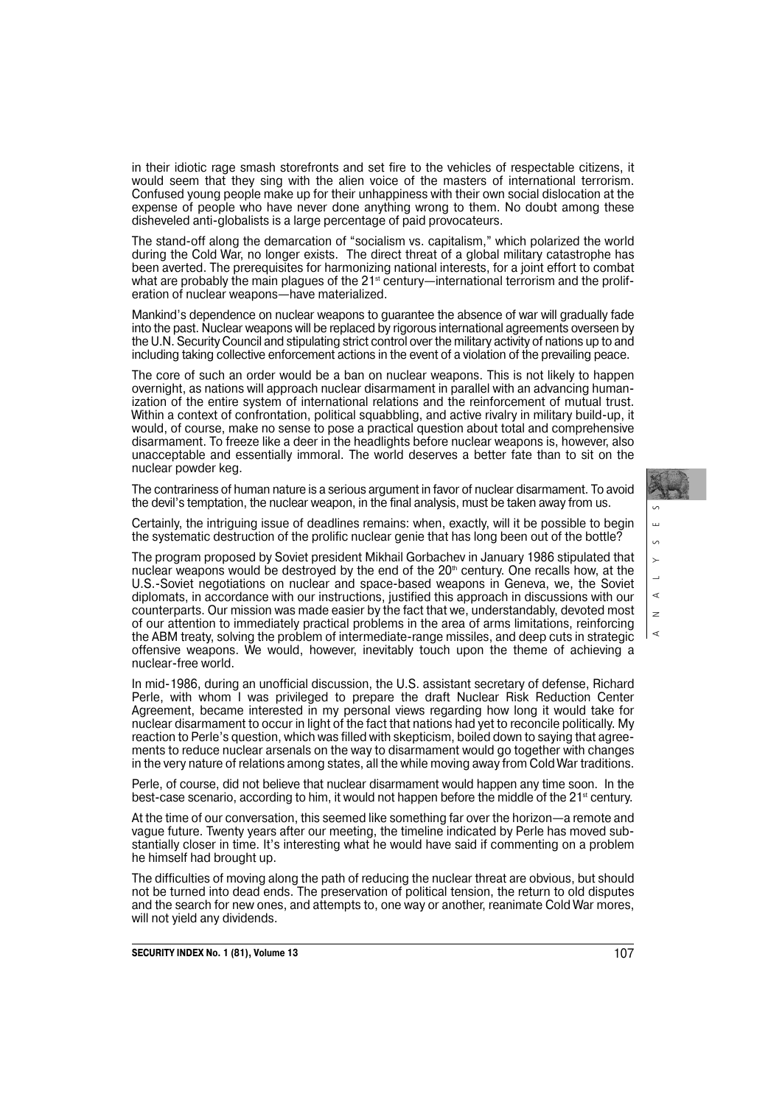in their idiotic rage smash storefronts and set fire to the vehicles of respectable citizens, it would seem that they sing with the alien voice of the masters of international terrorism. Confused young people make up for their unhappiness with their own social dislocation at the expense of people who have never done anything wrong to them. No doubt among these disheveled anti-globalists is a large percentage of paid provocateurs.

The stand-off along the demarcation of "socialism vs. capitalism," which polarized the world during the Cold War, no longer exists. The direct threat of a global military catastrophe has been averted. The prerequisites for harmonizing national interests, for a joint effort to combat what are probably the main plagues of the 21 $^{\rm st}$  century—international terrorism and the proliferation of nuclear weapons—have materialized.

Mankind's dependence on nuclear weapons to guarantee the absence of war will gradually fade into the past. Nuclear weapons will be replaced by rigorous international agreements overseen by the U.N. Security Council and stipulating strict control over the military activity of nations up to and including taking collective enforcement actions in the event of a violation of the prevailing peace.

The core of such an order would be a ban on nuclear weapons. This is not likely to happen overnight, as nations will approach nuclear disarmament in parallel with an advancing human ization of the entire system of international relations and the reinforcement of mutual trust. Within a context of confrontation, political squabbling, and active rivalry in military build-up, it would, of course, make no sense to pose a practical question about total and comprehensive disarmament. To freeze like a deer in the headlights before nuclear weapons is, however, also unacceptable and essentially immoral. The world deserves a better fate than to sit on the nuclear powder keg.

The contrariness of human nature is a serious argument in favor of nuclear disarmament. To avoid the devil's temptation, the nuclear weapon, in the final analysis, must be taken away from us.

Certainly, the intriguing issue of deadlines remains: when, exactly, will it be possible to begin the systematic destruction of the prolific nuclear genie that has long been out of the bottle?

The program proposed by Soviet president Mikhail Gorbachev in January 1986 stipulated that nuclear weapons would be destroyed by the end of the  $20<sup>th</sup>$  century. One recalls how, at the U.S.-Soviet negotiations on nuclear and space-based weapons in Geneva, we, the Soviet diplomats, in accordance with our instructions, justified this approach in discussions with our counterparts. Our mission was made easier by the fact that we, understandably, devoted most of our attention to immediately practical problems in the area of arms limitations, reinforcing the ABM treaty, solving the problem of intermediate-range missiles, and deep cuts in strategic offensive weapons. We would, however, inevitably touch upon the theme of achieving a nuclear-free world.

In mid-1986, during an unofficial discussion, the U.S. assistant secretary of defense, Richard Perle, with whom I was privileged to prepare the draft Nuclear Risk Reduction Center Agreement, became interested in my personal views regarding how long it would take for nuclear disarmament to occur in light of the fact that nations had yet to reconcile politically. My reaction to Perle's question, which was filled with skepticism, boiled down to saying that agree ments to reduce nuclear arsenals on the way to disarmament would go together with changes in the very nature of relations among states, all the while moving away from Cold War traditions.

Perle, of course, did not believe that nuclear disarmament would happen any time soon. In the best-case scenario, according to him, it would not happen before the middle of the 21<sup>st</sup> century.

At the time of our conversation, this seemed like something far over the horizon—a remote and vague future. Twenty years after our meeting, the timeline indicated by Perle has moved sub- stantially closer in time. It's interesting what he would have said if commenting on a problem he himself had brought up.

The difficulties of moving along the path of reducing the nuclear threat are obvious, but should not be turned into dead ends. The preservation of political tension, the return to old disputes and the search for new ones, and attempts to, one way or another, reanimate Cold War mores, will not yield any dividends.

 $\overline{11}$  $\sim$  $\rightarrow$  $\sim$  $\prec$  $\rightarrow$ ∢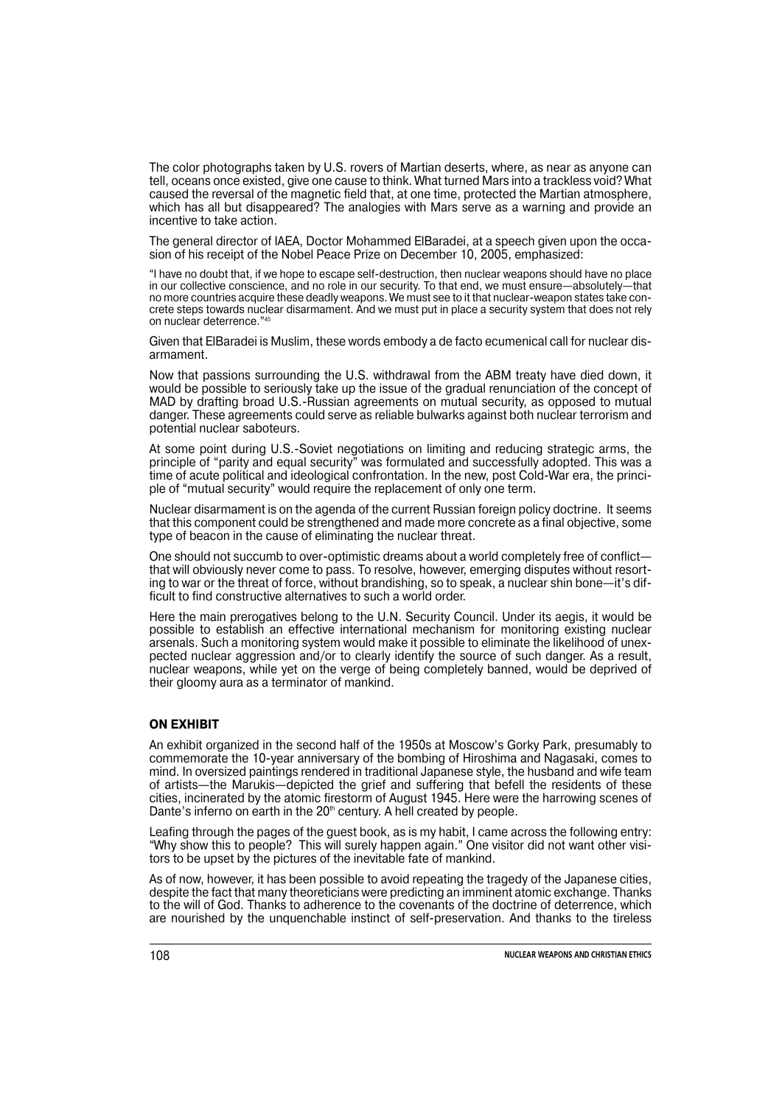The color photographs taken by U.S. rovers of Martian deserts, where, as near as anyone can tell, oceans once existed, give one cause to think. What turned Mars into a trackless void? What caused the reversal of the magnetic field that, at one time, protected the Martian atmosphere, which has all but disappeared? The analogies with Mars serve as a warning and provide an incentive to take action.

The general director of IAEA, Doctor Mohammed ElBaradei, at a speech given upon the occa sion of his receipt of the Nobel Peace Prize on December 10, 2005, emphasized:

"I have no doubt that, if we hope to escape self-destruction, then nuclear weapons should have no place in our collective conscience, and no role in our security. To that end, we must ensure—absolutely—that no more countries acquire these deadly weapons. We must see to it that nuclear-weapon states take con crete steps towards nuclear disarmament. And we must put in place a security system that does not rely on nuclear deterrence."45

Given that ElBaradei is Muslim, these words embody a de facto ecumenical call for nuclear dis armament.

Now that passions surrounding the U.S. withdrawal from the ABM treaty have died down, it would be possible to seriously take up the issue of the gradual renunciation of the concept of MAD by drafting broad U.S.-Russian agreements on mutual security, as opposed to mutual danger. These agreements could serve as reliable bulwarks against both nuclear terrorism and potential nuclear saboteurs.

At some point during U.S.-Soviet negotiations on limiting and reducing strategic arms, the principle of "parity and equal security" was formulated and successfully adopted. This was a time of acute political and ideological confrontation. In the new, post Cold-War era, the princi ple of "mutual security" would require the replacement of only one term.

Nuclear disarmament is on the agenda of the current Russian foreign policy doctrine. It seems that this component could be strengthened and made more concrete as a final objective, some type of beacon in the cause of eliminating the nuclear threat.

One should not succumb to over-optimistic dreams about a world completely free of conflict that will obviously never come to pass. To resolve, however, emerging disputes without resort ing to war or the threat of force, without brandishing, so to speak, a nuclear shin bone—it's dif ficult to find constructive alternatives to such a world order.

Here the main prerogatives belong to the U.N. Security Council. Under its aegis, it would be possible to establish an effective international mechanism for monitoring existing nuclear arsenals. Such a monitoring system would make it possible to eliminate the likelihood of unex pected nuclear aggression and/or to clearly identify the source of such danger. As a result, nuclear weapons, while yet on the verge of being completely banned, would be deprived of their gloomy aura as a terminator of mankind.

# **ON EXHIBIT**

An exhibit organized in the second half of the 1950s at Moscow's Gorky Park, presumably to commemorate the 10-year anniversary of the bombing of Hiroshima and Nagasaki, comes to mind. In oversized paintings rendered in traditional Japanese style, the husband and wife team of artists—the Marukis—depicted the grief and suffering that befell the residents of these cities, incinerated by the atomic firestorm of August 1945. Here were the harrowing scenes of Dante's inferno on earth in the 20<sup>th</sup> century. A hell created by people.

Leafing through the pages of the guest book, as is my habit, I came across the following entry: "Why show this to people? This will surely happen again." One visitor did not want other visi tors to be upset by the pictures of the inevitable fate of mankind.

As of now, however, it has been possible to avoid repeating the tragedy of the Japanese cities, despite the fact that many theoreticians were predicting an imminent atomic exchange. Thanks to the will of God. Thanks to adherence to the covenants of the doctrine of deterrence, which are nourished by the unquenchable instinct of self-preservation. And thanks to the tireless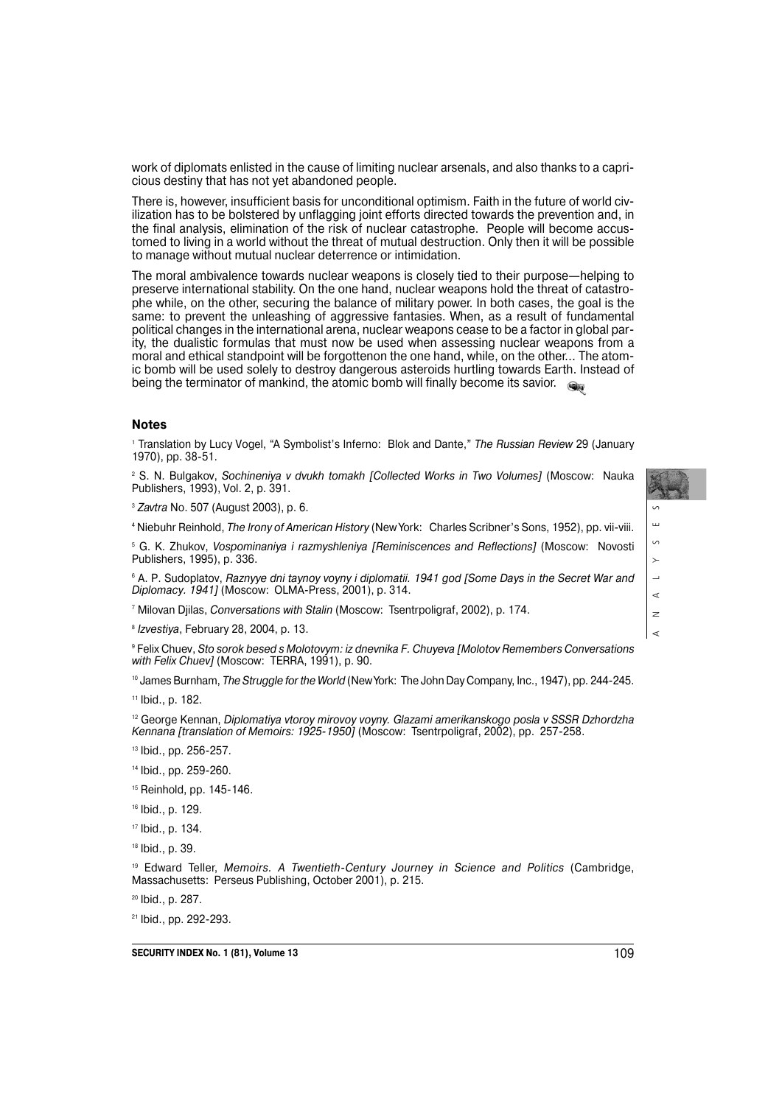work of diplomats enlisted in the cause of limiting nuclear arsenals, and also thanks to a capri cious destiny that has not yet abandoned people.

There is, however, insufficient basis for unconditional optimism. Faith in the future of world civ ilization has to be bolstered by unflagging joint efforts directed towards the prevention and, in the final analysis, elimination of the risk of nuclear catastrophe. People will become accus tomed to living in a world without the threat of mutual destruction. Only then it will be possible to manage without mutual nuclear deterrence or intimidation.

The moral ambivalence towards nuclear weapons is closely tied to their purpose—helping to preserve international stability. On the one hand, nuclear weapons hold the threat of catastro phe while, on the other, securing the balance of military power. In both cases, the goal is the same: to prevent the unleashing of aggressive fantasies. When, as a result of fundamental political changes in the international arena, nuclear weapons cease to be a factor in global par ity, the dualistic formulas that must now be used when assessing nuclear weapons from a moral and ethical standpoint will be forgottenon the one hand, while, on the other... The atom ic bomb will be used solely to destroy dangerous asteroids hurtling towards Earth. Instead of being the terminator of mankind, the atomic bomb will finally become its savior.  $\bullet$ 

## **Notes**

<sup>1</sup> Translation by Lucy Vogel, "A Symbolist's Inferno: Blok and Dante," The Russian Review 29 (January 1970), pp. 38-51.

<sup>2</sup> S. N. Bulgakov, *Sochineniya v dvukh tomakh [Collected Works in Two Volumes]* (Moscow: Nauka Publishers, 1993), Vol. 2, p. 391.

<sup>3</sup> Zavtra No. 507 (August 2003), p. 6.

<sup>4</sup> Niebuhr Reinhold, *The Irony of American History* (New York: Charles Scribner's Sons, 1952), pp. vii-viii.

<sup>5</sup> G. K. Zhukov, *Vospominaniya i razmyshleniya [Reminiscences and Reflections]* (Moscow: Novosti Publishers, 1995), p. 336.

<sup>6</sup> A. P. Sudoplatov, *Raznyye dni taynoy voyny i diplomatii. 1941 god [Some Days in the Secret War and Diplomacy. 1941]* (Moscow: OLMA-Press, 2001), p. 314.

<sup>7</sup> Milovan Djilas, Conversations with Stalin (Moscow: Tsentrpoligraf, 2002), p. 174.

<sup>8</sup> Izvestiya, February 28, 2004, p. 13.

<sup>9</sup> Felix Chuev, *Sto sorok besed s Molotovym: iz dnevnika F. Chuyeva [Molotov Remembers Conversations with Felix Chuev]* (Moscow: TERRA, 1991), p. 90.

<sup>10</sup> James Burnham, *The Struggle for the World* (New York: The John Day Company, Inc., 1947), pp. 244-245.

 $11$  Ihid., n. 182.

<sup>12</sup> George Kennan, Diplomatiya vtoroy mirovoy yoyny. Glazami amerikanskogo posla y SSSR Dzhordzha Kennana [translation of Memoirs: 1925-1950] (Moscow: Tsentrpoligraf, 2002), pp. 257-258.

<sup>13</sup> Ibid., pp. 256-257.

<sup>14</sup> Ibid., pp. 259-260.

<sup>15</sup> Reinhold, pp. 145-146.

<sup>16</sup> Ibid., p. 129.

<sup>17</sup> Ibid., p. 134.

<sup>18</sup> Ibid., p. 39.

<sup>19</sup> Edward Teller, Memoirs. A Twentieth-Century Journey in Science and Politics (Cambridge, Massachusetts: Perseus Publishing, October 2001), p. 215.

<sup>20</sup> Ibid., p. 287.

<sup>21</sup> Ibid., pp. 292-293.

**SECURITY INDEX No. 1 (81), Volume 13** 109

ANALYSES $\overline{11}$  $\sim$ 

 $\prec$  $\geq$  $\prec$